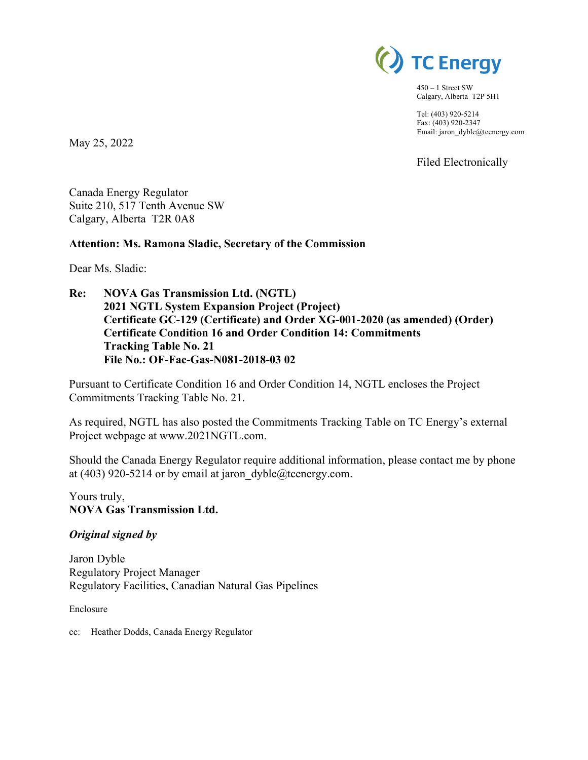

450 – 1 Street SW Calgary, Alberta T2P 5H1

Tel: (403) 920-5214 Fax: (403) 920-2347 Email: jaron\_dyble@tcenergy.com

Filed Electronically

Canada Energy Regulator Suite 210, 517 Tenth Avenue SW

Calgary, Alberta T2R 0A8

#### **Attention: Ms. Ramona Sladic, Secretary of the Commission**

Dear Ms. Sladic:

May 25, 2022

**Re: NOVA Gas Transmission Ltd. (NGTL) 2021 NGTL System Expansion Project (Project) Certificate GC-129 (Certificate) and Order XG-001-2020 (as amended) (Order) Certificate Condition 16 and Order Condition 14: Commitments Tracking Table No. 21 File No.: OF-Fac-Gas-N081-2018-03 02** 

Pursuant to Certificate Condition 16 and Order Condition 14, NGTL encloses the Project Commitments Tracking Table No. 21.

As required, NGTL has also posted the Commitments Tracking Table on TC Energy's external Project webpage at www.2021NGTL.com.

Should the Canada Energy Regulator require additional information, please contact me by phone at (403) 920-5214 or by email at jaron  $dyble@tcenergy.com$ .

Yours truly, **NOVA Gas Transmission Ltd.** 

#### *Original signed by*

Jaron Dyble Regulatory Project Manager Regulatory Facilities, Canadian Natural Gas Pipelines

Enclosure

cc: Heather Dodds, Canada Energy Regulator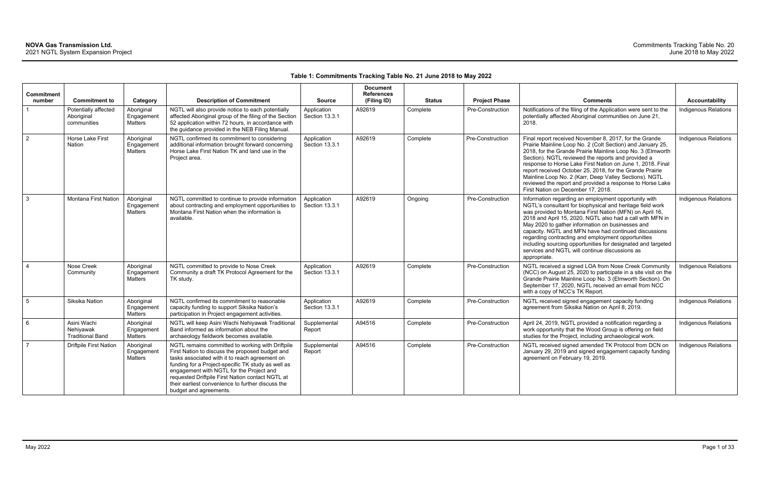### **Table 1: Commitments Tracking Table No. 21 June 2018 to May 2022**

| Commitment<br>number | <b>Commitment to</b>                                | Category                            | <b>Description of Commitment</b>                                                                                                                                                                                                                                                                                                                                                           | <b>Source</b>                 | <b>Document</b><br><b>References</b><br>(Filing ID) | <b>Status</b> | <b>Project Phase</b> | <b>Comments</b>                                                                                                                                                                                                                                                                                                                                                                                                                                                                                                                                | <b>Accountability</b>       |
|----------------------|-----------------------------------------------------|-------------------------------------|--------------------------------------------------------------------------------------------------------------------------------------------------------------------------------------------------------------------------------------------------------------------------------------------------------------------------------------------------------------------------------------------|-------------------------------|-----------------------------------------------------|---------------|----------------------|------------------------------------------------------------------------------------------------------------------------------------------------------------------------------------------------------------------------------------------------------------------------------------------------------------------------------------------------------------------------------------------------------------------------------------------------------------------------------------------------------------------------------------------------|-----------------------------|
|                      | Potentially affected<br>Aboriginal<br>communities   | Aboriginal<br>Engagement<br>Matters | NGTL will also provide notice to each potentially<br>affected Aboriginal group of the filing of the Section<br>52 application within 72 hours, in accordance with<br>the guidance provided in the NEB Filing Manual.                                                                                                                                                                       | Application<br>Section 13.3.1 | A92619                                              | Complete      | Pre-Construction     | Notifications of the filing of the Application were sent to the<br>potentially affected Aboriginal communities on June 21,<br>2018.                                                                                                                                                                                                                                                                                                                                                                                                            | Indigenous Relations        |
| $\overline{2}$       | Horse Lake First<br>Nation                          | Aboriginal<br>Engagement<br>Matters | NGTL confirmed its commitment to considering<br>additional information brought forward concerning<br>Horse Lake First Nation TK and land use in the<br>Project area.                                                                                                                                                                                                                       | Application<br>Section 13.3.1 | A92619                                              | Complete      | Pre-Construction     | Final report received November 8, 2017, for the Grande<br>Prairie Mainline Loop No. 2 (Colt Section) and January 25,<br>2018, for the Grande Prairie Mainline Loop No. 3 (Elmworth<br>Section). NGTL reviewed the reports and provided a<br>response to Horse Lake First Nation on June 1, 2018. Final<br>report received October 25, 2018, for the Grande Prairie<br>Mainline Loop No. 2 (Karr, Deep Valley Sections). NGTL<br>reviewed the report and provided a response to Horse Lake<br>First Nation on December 17, 2018.                | <b>Indigenous Relations</b> |
| $\mathbf{3}$         | <b>Montana First Nation</b>                         | Aboriginal<br>Engagement<br>Matters | NGTL committed to continue to provide information<br>about contracting and employment opportunities to<br>Montana First Nation when the information is<br>available.                                                                                                                                                                                                                       | Application<br>Section 13.3.1 | A92619                                              | Ongoing       | Pre-Construction     | Information regarding an employment opportunity with<br>NGTL's consultant for biophysical and heritage field work<br>was provided to Montana First Nation (MFN) on April 16,<br>2018 and April 15, 2020. NGTL also had a call with MFN in<br>May 2020 to gather information on businesses and<br>capacity. NGTL and MFN have had continued discussions<br>regarding contracting and employment opportunities<br>including sourcing opportunities for designated and targeted<br>services and NGTL will continue discussions as<br>appropriate. | Indigenous Relations        |
| $\overline{4}$       | Nose Creek<br>Community                             | Aboriginal<br>Engagement<br>Matters | NGTL committed to provide to Nose Creek<br>Community a draft TK Protocol Agreement for the<br>TK study.                                                                                                                                                                                                                                                                                    | Application<br>Section 13.3.1 | A92619                                              | Complete      | Pre-Construction     | NGTL received a signed LOA from Nose Creek Community<br>(NCC) on August 25, 2020 to participate in a site visit on the<br>Grande Prairie Mainline Loop No. 3 (Elmworth Section). On<br>September 17, 2020, NGTL received an email from NCC<br>with a copy of NCC's TK Report.                                                                                                                                                                                                                                                                  | <b>Indigenous Relations</b> |
| $5\phantom{.0}$      | Siksika Nation                                      | Aboriginal<br>Engagement<br>Matters | NGTL confirmed its commitment to reasonable<br>capacity funding to support Siksika Nation's<br>participation in Project engagement activities.                                                                                                                                                                                                                                             | Application<br>Section 13.3.1 | A92619                                              | Complete      | Pre-Construction     | NGTL received signed engagement capacity funding<br>agreement from Siksika Nation on April 8, 2019.                                                                                                                                                                                                                                                                                                                                                                                                                                            | <b>Indigenous Relations</b> |
| 6                    | Asini Wachi<br>Nehiyawak<br><b>Traditional Band</b> | Aboriginal<br>Engagement<br>Matters | NGTL will keep Asini Wachi Nehiyawak Traditional<br>Band informed as information about the<br>archaeology fieldwork becomes available.                                                                                                                                                                                                                                                     | Supplemental<br>Report        | A94516                                              | Complete      | Pre-Construction     | April 24, 2019, NGTL provided a notification regarding a<br>work opportunity that the Wood Group is offering on field<br>studies for the Project, including archaeological work.                                                                                                                                                                                                                                                                                                                                                               | <b>Indigenous Relations</b> |
| $\overline{7}$       | <b>Driftpile First Nation</b>                       | Aboriginal<br>Engagement<br>Matters | NGTL remains committed to working with Driftpile<br>First Nation to discuss the proposed budget and<br>tasks associated with it to reach agreement on<br>funding for a Project-specific TK study as well as<br>engagement with NGTL for the Project and<br>requested Driftpile First Nation contact NGTL at<br>their earliest convenience to further discuss the<br>budget and agreements. | Supplemental<br>Report        | A94516                                              | Complete      | Pre-Construction     | NGTL received signed amended TK Protocol from DCN on<br>January 29, 2019 and signed engagement capacity funding<br>agreement on February 19, 2019.                                                                                                                                                                                                                                                                                                                                                                                             | Indigenous Relations        |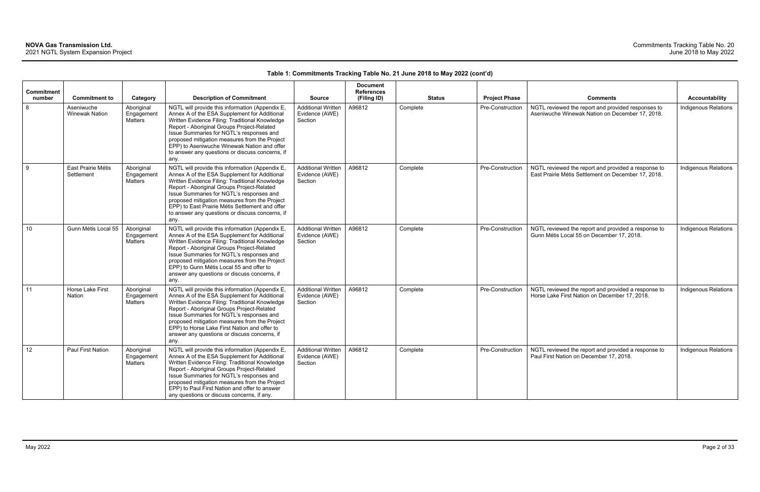| <b>Commitment</b> |                                     |                                            |                                                                                                                                                                                                                                                                                                                                                                                                            |                                                        | <b>Document</b><br><b>References</b> |               |                         |                                                                                                            |                             |
|-------------------|-------------------------------------|--------------------------------------------|------------------------------------------------------------------------------------------------------------------------------------------------------------------------------------------------------------------------------------------------------------------------------------------------------------------------------------------------------------------------------------------------------------|--------------------------------------------------------|--------------------------------------|---------------|-------------------------|------------------------------------------------------------------------------------------------------------|-----------------------------|
| number            | <b>Commitment to</b>                | Category                                   | <b>Description of Commitment</b>                                                                                                                                                                                                                                                                                                                                                                           | <b>Source</b>                                          | (Filing ID)                          | <b>Status</b> | <b>Project Phase</b>    | <b>Comments</b>                                                                                            | <b>Accountability</b>       |
| 8                 | Aseniwuche<br><b>Winewak Nation</b> | Aboriginal<br>Engagement<br><b>Matters</b> | NGTL will provide this information (Appendix E,<br>Annex A of the ESA Supplement for Additional<br>Written Evidence Filing: Traditional Knowledge<br>Report - Aboriginal Groups Project-Related<br>Issue Summaries for NGTL's responses and<br>proposed mitigation measures from the Project<br>EPP) to Aseniwuche Winewak Nation and offer<br>to answer any questions or discuss concerns, if<br>any.     | <b>Additional Written</b><br>Evidence (AWE)<br>Section | A96812                               | Complete      | Pre-Construction        | NGTL reviewed the report and provided responses to<br>Aseniwuche Winewak Nation on December 17, 2018.      | <b>Indigenous Relations</b> |
| 9                 | East Prairie Métis<br>Settlement    | Aboriginal<br>Engagement<br><b>Matters</b> | NGTL will provide this information (Appendix E,<br>Annex A of the ESA Supplement for Additional<br>Written Evidence Filing: Traditional Knowledge<br>Report - Aboriginal Groups Project-Related<br>Issue Summaries for NGTL's responses and<br>proposed mitigation measures from the Project<br>EPP) to East Prairie Métis Settlement and offer<br>to answer any questions or discuss concerns, if<br>any. | <b>Additional Written</b><br>Evidence (AWE)<br>Section | A96812                               | Complete      | <b>Pre-Construction</b> | NGTL reviewed the report and provided a response to<br>East Prairie Métis Settlement on December 17, 2018. | <b>Indigenous Relations</b> |
| 10                | Gunn Métis Local 55                 | Aboriginal<br>Engagement<br><b>Matters</b> | NGTL will provide this information (Appendix E,<br>Annex A of the ESA Supplement for Additional<br>Written Evidence Filing: Traditional Knowledge<br>Report - Aboriginal Groups Project-Related<br>Issue Summaries for NGTL's responses and<br>proposed mitigation measures from the Project<br>EPP) to Gunn Métis Local 55 and offer to<br>answer any questions or discuss concerns, if<br>any.           | <b>Additional Written</b><br>Evidence (AWE)<br>Section | A96812                               | Complete      | Pre-Construction        | NGTL reviewed the report and provided a response to<br>Gunn Métis Local 55 on December 17, 2018.           | Indigenous Relations        |
| 11                | Horse Lake First<br>Nation          | Aboriginal<br>Engagement<br><b>Matters</b> | NGTL will provide this information (Appendix E,<br>Annex A of the ESA Supplement for Additional<br>Written Evidence Filing: Traditional Knowledge<br>Report - Aboriginal Groups Project-Related<br>Issue Summaries for NGTL's responses and<br>proposed mitigation measures from the Project<br>EPP) to Horse Lake First Nation and offer to<br>answer any questions or discuss concerns, if<br>any.       | <b>Additional Written</b><br>Evidence (AWE)<br>Section | A96812                               | Complete      | Pre-Construction        | NGTL reviewed the report and provided a response to<br>Horse Lake First Nation on December 17, 2018.       | Indigenous Relations        |
| 12                | Paul First Nation                   | Aboriginal<br>Engagement<br><b>Matters</b> | NGTL will provide this information (Appendix E,<br>Annex A of the ESA Supplement for Additional<br>Written Evidence Filing: Traditional Knowledge<br>Report - Aboriginal Groups Project-Related<br>Issue Summaries for NGTL's responses and<br>proposed mitigation measures from the Project<br>EPP) to Paul First Nation and offer to answer<br>any questions or discuss concerns, if any.                | <b>Additional Written</b><br>Evidence (AWE)<br>Section | A96812                               | Complete      | Pre-Construction        | NGTL reviewed the report and provided a response to<br>Paul First Nation on December 17, 2018.             | Indigenous Relations        |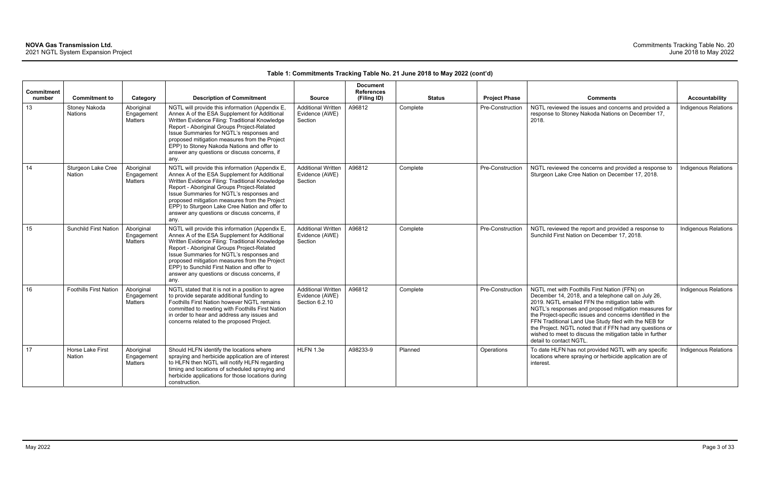| Commitment |                                     |                                            |                                                                                                                                                                                                                                                                                                                                                                                                        |                                                               | <b>Document</b><br><b>References</b> |               |                         |                                                                                                                                                                                                                                                                                                                                                                                                                                                                                              |                             |
|------------|-------------------------------------|--------------------------------------------|--------------------------------------------------------------------------------------------------------------------------------------------------------------------------------------------------------------------------------------------------------------------------------------------------------------------------------------------------------------------------------------------------------|---------------------------------------------------------------|--------------------------------------|---------------|-------------------------|----------------------------------------------------------------------------------------------------------------------------------------------------------------------------------------------------------------------------------------------------------------------------------------------------------------------------------------------------------------------------------------------------------------------------------------------------------------------------------------------|-----------------------------|
| number     | <b>Commitment to</b>                | Category                                   | <b>Description of Commitment</b>                                                                                                                                                                                                                                                                                                                                                                       | <b>Source</b>                                                 | (Filing ID)                          | <b>Status</b> | <b>Project Phase</b>    | <b>Comments</b>                                                                                                                                                                                                                                                                                                                                                                                                                                                                              | <b>Accountability</b>       |
| 13         | Stoney Nakoda<br><b>Nations</b>     | Aboriginal<br>Engagement<br>Matters        | NGTL will provide this information (Appendix E,<br>Annex A of the ESA Supplement for Additional<br>Written Evidence Filing: Traditional Knowledge<br>Report - Aboriginal Groups Project-Related<br>Issue Summaries for NGTL's responses and<br>proposed mitigation measures from the Project<br>EPP) to Stoney Nakoda Nations and offer to<br>answer any questions or discuss concerns, if<br>any.     | <b>Additional Written</b><br>Evidence (AWE)<br>Section        | A96812                               | Complete      | <b>Pre-Construction</b> | NGTL reviewed the issues and concerns and provided a<br>response to Stoney Nakoda Nations on December 17,<br>2018.                                                                                                                                                                                                                                                                                                                                                                           | Indigenous Relations        |
| 14         | Sturgeon Lake Cree<br><b>Nation</b> | Aboriginal<br>Engagement<br><b>Matters</b> | NGTL will provide this information (Appendix E,<br>Annex A of the ESA Supplement for Additional<br>Written Evidence Filing: Traditional Knowledge<br>Report - Aboriginal Groups Project-Related<br>Issue Summaries for NGTL's responses and<br>proposed mitigation measures from the Project<br>EPP) to Sturgeon Lake Cree Nation and offer to<br>answer any questions or discuss concerns, if<br>any. | <b>Additional Written</b><br>Evidence (AWE)<br>Section        | A96812                               | Complete      | Pre-Construction        | NGTL reviewed the concerns and provided a response to<br>Sturgeon Lake Cree Nation on December 17, 2018.                                                                                                                                                                                                                                                                                                                                                                                     | Indigenous Relations        |
| 15         | <b>Sunchild First Nation</b>        | Aboriginal<br>Engagement<br>Matters        | NGTL will provide this information (Appendix E,<br>Annex A of the ESA Supplement for Additional<br>Written Evidence Filing: Traditional Knowledge<br>Report - Aboriginal Groups Project-Related<br>Issue Summaries for NGTL's responses and<br>proposed mitigation measures from the Project<br>EPP) to Sunchild First Nation and offer to<br>answer any questions or discuss concerns, if<br>any.     | <b>Additional Written</b><br>Evidence (AWE)<br>Section        | A96812                               | Complete      | <b>Pre-Construction</b> | NGTL reviewed the report and provided a response to<br>Sunchild First Nation on December 17, 2018.                                                                                                                                                                                                                                                                                                                                                                                           | <b>Indigenous Relations</b> |
| 16         | <b>Foothills First Nation</b>       | Aboriginal<br>Engagement<br>Matters        | NGTL stated that it is not in a position to agree<br>to provide separate additional funding to<br>Foothills First Nation however NGTL remains<br>committed to meeting with Foothills First Nation<br>in order to hear and address any issues and<br>concerns related to the proposed Project.                                                                                                          | <b>Additional Written</b><br>Evidence (AWE)<br>Section 6.2.10 | A96812                               | Complete      | Pre-Construction        | NGTL met with Foothills First Nation (FFN) on<br>December 14, 2018, and a telephone call on July 26,<br>2019. NGTL emailed FFN the mitigation table with<br>NGTL's responses and proposed mitigation measures for<br>the Project-specific issues and concerns identified in the<br>FFN Traditional Land Use Study filed with the NEB for<br>the Project. NGTL noted that if FFN had any questions or<br>wished to meet to discuss the mitigation table in further<br>detail to contact NGTL. | <b>Indigenous Relations</b> |
| 17         | Horse Lake First<br>Nation          | Aboriginal<br>Engagement<br><b>Matters</b> | Should HLFN identify the locations where<br>spraying and herbicide application are of interest<br>to HLFN then NGTL will notify HLFN regarding<br>timing and locations of scheduled spraying and<br>herbicide applications for those locations during<br>construction.                                                                                                                                 | HLFN 1.3e                                                     | A98233-9                             | Planned       | Operations              | To date HLFN has not provided NGTL with any specific<br>locations where spraying or herbicide application are of<br>interest.                                                                                                                                                                                                                                                                                                                                                                | Indigenous Relations        |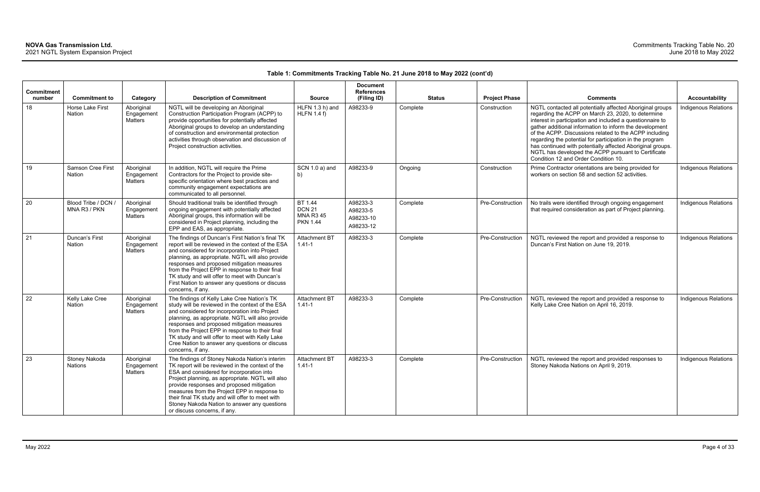|                      |                                           |                                     |                                                                                                                                                                                                                                                                                                                                                                                                                                      |                                                                 | <b>Document</b>                                |               |                      |                                                                                                                                                                                                                                                                                                                                                                                                                                                                                                                            |                       |
|----------------------|-------------------------------------------|-------------------------------------|--------------------------------------------------------------------------------------------------------------------------------------------------------------------------------------------------------------------------------------------------------------------------------------------------------------------------------------------------------------------------------------------------------------------------------------|-----------------------------------------------------------------|------------------------------------------------|---------------|----------------------|----------------------------------------------------------------------------------------------------------------------------------------------------------------------------------------------------------------------------------------------------------------------------------------------------------------------------------------------------------------------------------------------------------------------------------------------------------------------------------------------------------------------------|-----------------------|
| Commitment<br>number | <b>Commitment to</b>                      | Category                            | <b>Description of Commitment</b>                                                                                                                                                                                                                                                                                                                                                                                                     | <b>Source</b>                                                   | <b>References</b><br>(Filing ID)               | <b>Status</b> | <b>Project Phase</b> | <b>Comments</b>                                                                                                                                                                                                                                                                                                                                                                                                                                                                                                            | <b>Accountability</b> |
| 18                   | Horse Lake First<br>Nation                | Aboriginal<br>Engagement<br>Matters | NGTL will be developing an Aboriginal<br>Construction Participation Program (ACPP) to<br>provide opportunities for potentially affected<br>Aboriginal groups to develop an understanding<br>of construction and environmental protection<br>activities through observation and discussion of<br>Project construction activities.                                                                                                     | HLFN 1.3 h) and<br>$HLFN$ 1.4 f)                                | A98233-9                                       | Complete      | Construction         | NGTL contacted all potentially affected Aboriginal groups<br>regarding the ACPP on March 23, 2020, to determine<br>interest in participation and included a questionnaire to<br>gather additional information to inform the development<br>of the ACPP. Discussions related to the ACPP including<br>regarding the potential for participation in the program<br>has continued with potentially affected Aboriginal groups.<br>NGTL has developed the ACPP pursuant to Certificate<br>Condition 12 and Order Condition 10. | Indigenous Relations  |
| 19                   | <b>Samson Cree First</b><br><b>Nation</b> | Aboriginal<br>Engagement<br>Matters | In addition, NGTL will require the Prime<br>Contractors for the Project to provide site-<br>specific orientation where best practices and<br>community engagement expectations are<br>communicated to all personnel.                                                                                                                                                                                                                 | SCN 1.0 a) and<br>b)                                            | A98233-9                                       | Ongoing       | Construction         | Prime Contractor orientations are being provided for<br>workers on section 58 and section 52 activities.                                                                                                                                                                                                                                                                                                                                                                                                                   | Indigenous Relations  |
| 20                   | Blood Tribe / DCN /<br>MNA R3 / PKN       | Aboriginal<br>Engagement<br>Matters | Should traditional trails be identified through<br>ongoing engagement with potentially affected<br>Aboriginal groups, this information will be<br>considered in Project planning, including the<br>EPP and EAS, as appropriate.                                                                                                                                                                                                      | BT 1.44<br><b>DCN 21</b><br><b>MNA R3 45</b><br><b>PKN 1.44</b> | A98233-3<br>A98233-5<br>A98233-10<br>A98233-12 | Complete      | Pre-Construction     | No trails were identified through ongoing engagement<br>that required consideration as part of Project planning.                                                                                                                                                                                                                                                                                                                                                                                                           | Indigenous Relations  |
| 21                   | Duncan's First<br><b>Nation</b>           | Aboriginal<br>Engagement<br>Matters | The findings of Duncan's First Nation's final TK<br>report will be reviewed in the context of the ESA<br>and considered for incorporation into Project<br>planning, as appropriate. NGTL will also provide<br>responses and proposed mitigation measures<br>from the Project EPP in response to their final<br>TK study and will offer to meet with Duncan's<br>First Nation to answer any questions or discuss<br>concerns, if any. | <b>Attachment BT</b><br>$1.41 - 1$                              | A98233-3                                       | Complete      | Pre-Construction     | NGTL reviewed the report and provided a response to<br>Duncan's First Nation on June 19, 2019.                                                                                                                                                                                                                                                                                                                                                                                                                             | Indigenous Relations  |
| 22                   | Kelly Lake Cree<br><b>Nation</b>          | Aboriginal<br>Engagement<br>Matters | The findings of Kelly Lake Cree Nation's TK<br>study will be reviewed in the context of the ESA<br>and considered for incorporation into Project<br>planning, as appropriate. NGTL will also provide<br>responses and proposed mitigation measures<br>from the Project EPP in response to their final<br>TK study and will offer to meet with Kelly Lake<br>Cree Nation to answer any questions or discuss<br>concerns, if any.      | <b>Attachment BT</b><br>$1.41 - 1$                              | A98233-3                                       | Complete      | Pre-Construction     | NGTL reviewed the report and provided a response to<br>Kelly Lake Cree Nation on April 16, 2019.                                                                                                                                                                                                                                                                                                                                                                                                                           | Indigenous Relations  |
| 23                   | Stoney Nakoda<br>Nations                  | Aboriginal<br>Engagement<br>Matters | The findings of Stoney Nakoda Nation's interim<br>TK report will be reviewed in the context of the<br>ESA and considered for incorporation into<br>Project planning, as appropriate. NGTL will also<br>provide responses and proposed mitigation<br>measures from the Project EPP in response to<br>their final TK study and will offer to meet with<br>Stoney Nakoda Nation to answer any questions<br>or discuss concerns, if any. | Attachment BT<br>$1.41 - 1$                                     | A98233-3                                       | Complete      | Pre-Construction     | NGTL reviewed the report and provided responses to<br>Stoney Nakoda Nations on April 9, 2019.                                                                                                                                                                                                                                                                                                                                                                                                                              | Indigenous Relations  |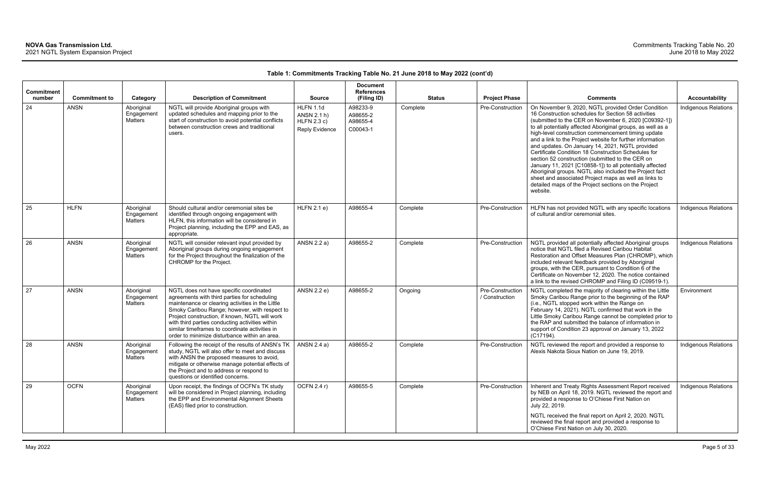| Commitment<br>number | <b>Commitment to</b> | Category                            | <b>Description of Commitment</b>                                                                                                                                                                                                                                                                                                                                                                     | <b>Source</b>                                             | <b>Document</b><br><b>References</b><br>(Filing ID) | <b>Status</b> | <b>Project Phase</b>               | <b>Comments</b>                                                                                                                                                                                                                                                                                                                                                                                                                                                                                                                                                                                                                                                                                                                                                       | <b>Accountability</b>       |
|----------------------|----------------------|-------------------------------------|------------------------------------------------------------------------------------------------------------------------------------------------------------------------------------------------------------------------------------------------------------------------------------------------------------------------------------------------------------------------------------------------------|-----------------------------------------------------------|-----------------------------------------------------|---------------|------------------------------------|-----------------------------------------------------------------------------------------------------------------------------------------------------------------------------------------------------------------------------------------------------------------------------------------------------------------------------------------------------------------------------------------------------------------------------------------------------------------------------------------------------------------------------------------------------------------------------------------------------------------------------------------------------------------------------------------------------------------------------------------------------------------------|-----------------------------|
| 24                   | <b>ANSN</b>          | Aboriginal<br>Engagement<br>Matters | NGTL will provide Aboriginal groups with<br>updated schedules and mapping prior to the<br>start of construction to avoid potential conflicts<br>between construction crews and traditional<br>users.                                                                                                                                                                                                 | HLFN 1.1d<br>ANSN 2.1 h)<br>HLFN 2.3 c)<br>Reply Evidence | A98233-9<br>A98655-2<br>A98655-4<br>C00043-1        | Complete      | Pre-Construction                   | On November 9, 2020, NGTL provided Order Condition<br>16 Construction schedules for Section 58 activities<br>(submitted to the CER on November 6, 2020 [C09392-1])<br>to all potentially affected Aboriginal groups, as well as a<br>high-level construction commencement timing update<br>and a link to the Project website for further information<br>and updates. On January 14, 2021, NGTL provided<br>Certificate Condition 18 Construction Schedules for<br>section 52 construction (submitted to the CER on<br>January 11, 2021 [C10858-1]) to all potentially affected<br>Aboriginal groups. NGTL also included the Project fact<br>sheet and associated Project maps as well as links to<br>detailed maps of the Project sections on the Project<br>website. | Indigenous Relations        |
| 25                   | <b>HLFN</b>          | Aboriginal<br>Engagement<br>Matters | Should cultural and/or ceremonial sites be<br>identified through ongoing engagement with<br>HLFN, this information will be considered in<br>Project planning, including the EPP and EAS, as<br>appropriate.                                                                                                                                                                                          | HLFN 2.1 e)                                               | A98655-4                                            | Complete      | Pre-Construction                   | HLFN has not provided NGTL with any specific locations<br>of cultural and/or ceremonial sites.                                                                                                                                                                                                                                                                                                                                                                                                                                                                                                                                                                                                                                                                        | <b>Indigenous Relations</b> |
| 26                   | <b>ANSN</b>          | Aboriginal<br>Engagement<br>Matters | NGTL will consider relevant input provided by<br>Aboriginal groups during ongoing engagement<br>for the Project throughout the finalization of the<br>CHROMP for the Project.                                                                                                                                                                                                                        | ANSN 2.2 a)                                               | A98655-2                                            | Complete      | Pre-Construction                   | NGTL provided all potentially affected Aboriginal groups<br>notice that NGTL filed a Revised Caribou Habitat<br>Restoration and Offset Measures Plan (CHROMP), which<br>included relevant feedback provided by Aboriginal<br>groups, with the CER, pursuant to Condition 6 of the<br>Certificate on November 12, 2020. The notice contained<br>a link to the revised CHROMP and Filing ID (C09519-1).                                                                                                                                                                                                                                                                                                                                                                 | <b>Indigenous Relations</b> |
| 27                   | <b>ANSN</b>          | Aboriginal<br>Engagement<br>Matters | NGTL does not have specific coordinated<br>agreements with third parties for scheduling<br>maintenance or clearing activities in the Little<br>Smoky Caribou Range; however, with respect to<br>Project construction, if known, NGTL will work<br>with third parties conducting activities within<br>similar timeframes to coordinate activities in<br>order to minimize disturbance within an area. | ANSN 2.2 e)                                               | A98655-2                                            | Ongoing       | Pre-Construction<br>/ Construction | NGTL completed the majority of clearing within the Little<br>Smoky Caribou Range prior to the beginning of the RAP<br>(i.e., NGTL stopped work within the Range on<br>February 14, 2021). NGTL confirmed that work in the<br>Little Smoky Caribou Range cannot be completed prior to<br>the RAP and submitted the balance of information in<br>support of Condition 23 approval on January 13, 2022<br>(C17194).                                                                                                                                                                                                                                                                                                                                                      | Environment                 |
| 28                   | <b>ANSN</b>          | Aboriginal<br>Engagement<br>Matters | Following the receipt of the results of ANSN's TK<br>study, NGTL will also offer to meet and discuss<br>with ANSN the proposed measures to avoid,<br>mitigate or otherwise manage potential effects of<br>the Project and to address or respond to<br>questions or identified concerns.                                                                                                              | ANSN 2.4 a)                                               | A98655-2                                            | Complete      | Pre-Construction                   | NGTL reviewed the report and provided a response to<br>Alexis Nakota Sioux Nation on June 19, 2019.                                                                                                                                                                                                                                                                                                                                                                                                                                                                                                                                                                                                                                                                   | <b>Indigenous Relations</b> |
| 29                   | <b>OCFN</b>          | Aboriginal<br>Engagement<br>Matters | Upon receipt, the findings of OCFN's TK study<br>will be considered in Project planning, including<br>the EPP and Environmental Alignment Sheets<br>(EAS) filed prior to construction.                                                                                                                                                                                                               | OCFN 2.4 r)                                               | A98655-5                                            | Complete      | Pre-Construction                   | Inherent and Treaty Rights Assessment Report received<br>by NEB on April 18, 2019. NGTL reviewed the report and<br>provided a response to O'Chiese First Nation on<br>July 22, 2019.<br>NGTL received the final report on April 2, 2020. NGTL<br>reviewed the final report and provided a response to<br>O'Chiese First Nation on July 30, 2020.                                                                                                                                                                                                                                                                                                                                                                                                                      | <b>Indigenous Relations</b> |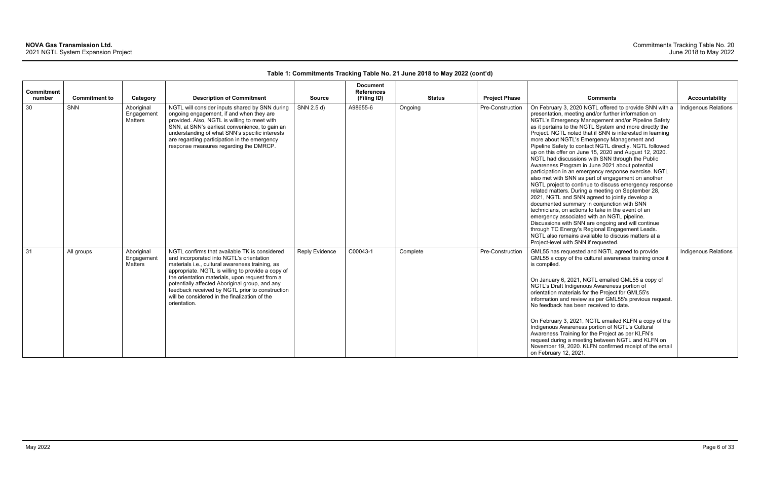| <b>Commitment</b><br>number | <b>Commitment to</b> | Category                            | <b>Description of Commitment</b>                                                                                                                                                                                                                                                                                                                                                                                          | <b>Source</b>         | <b>Document</b><br><b>References</b><br>(Filing ID) | <b>Status</b> | <b>Project Phase</b> | <b>Comments</b>                                                                                                                                                                                                                                                                                                                                                                                                                                                                                                                                                                                                                                                                                                                                                                                                                                                                                                                                                                                                                                                                                                                                                                                                 | <b>Accountability</b> |
|-----------------------------|----------------------|-------------------------------------|---------------------------------------------------------------------------------------------------------------------------------------------------------------------------------------------------------------------------------------------------------------------------------------------------------------------------------------------------------------------------------------------------------------------------|-----------------------|-----------------------------------------------------|---------------|----------------------|-----------------------------------------------------------------------------------------------------------------------------------------------------------------------------------------------------------------------------------------------------------------------------------------------------------------------------------------------------------------------------------------------------------------------------------------------------------------------------------------------------------------------------------------------------------------------------------------------------------------------------------------------------------------------------------------------------------------------------------------------------------------------------------------------------------------------------------------------------------------------------------------------------------------------------------------------------------------------------------------------------------------------------------------------------------------------------------------------------------------------------------------------------------------------------------------------------------------|-----------------------|
| 30                          | SNN                  | Aboriginal<br>Engagement<br>Matters | NGTL will consider inputs shared by SNN during<br>ongoing engagement, if and when they are<br>provided. Also, NGTL is willing to meet with<br>SNN, at SNN's earliest convenience, to gain an<br>understanding of what SNN's specific interests<br>are regarding participation in the emergency<br>response measures regarding the DMRCP.                                                                                  | SNN 2.5 d)            | A98655-6                                            | Ongoing       | Pre-Construction     | On February 3, 2020 NGTL offered to provide SNN with a<br>presentation, meeting and/or further information on<br>NGTL's Emergency Management and/or Pipeline Safety<br>as it pertains to the NGTL System and more directly the<br>Project. NGTL noted that if SNN is interested in learning<br>more about NGTL's Emergency Management and<br>Pipeline Safety to contact NGTL directly. NGTL followed<br>up on this offer on June 15, 2020 and August 12, 2020.<br>NGTL had discussions with SNN through the Public<br>Awareness Program in June 2021 about potential<br>participation in an emergency response exercise. NGTL<br>also met with SNN as part of engagement on another<br>NGTL project to continue to discuss emergency response<br>related matters. During a meeting on September 28,<br>2021, NGTL and SNN agreed to jointly develop a<br>documented summary in conjunction with SNN<br>technicians, on actions to take in the event of an<br>emergency associated with an NGTL pipeline.<br>Discussions with SNN are ongoing and will continue<br>through TC Energy's Regional Engagement Leads.<br>NGTL also remains available to discuss matters at a<br>Project-level with SNN if requested. | Indigenous Relations  |
| 31                          | All groups           | Aboriginal<br>Engagement<br>Matters | NGTL confirms that available TK is considered<br>and incorporated into NGTL's orientation<br>materials i.e., cultural awareness training, as<br>appropriate. NGTL is willing to provide a copy of<br>the orientation materials, upon request from a<br>potentially affected Aboriginal group, and any<br>feedback received by NGTL prior to construction<br>will be considered in the finalization of the<br>orientation. | <b>Reply Evidence</b> | C00043-1                                            | Complete      | Pre-Construction     | GML55 has requested and NGTL agreed to provide<br>GML55 a copy of the cultural awareness training once it<br>is compiled.<br>On January 6, 2021, NGTL emailed GML55 a copy of<br>NGTL's Draft Indigenous Awareness portion of<br>orientation materials for the Project for GML55's<br>information and review as per GML55's previous request.<br>No feedback has been received to date.<br>On February 3, 2021, NGTL emailed KLFN a copy of the<br>Indigenous Awareness portion of NGTL's Cultural<br>Awareness Training for the Project as per KLFN's<br>request during a meeting between NGTL and KLFN on<br>November 19, 2020. KLFN confirmed receipt of the email<br>on February 12, 2021.                                                                                                                                                                                                                                                                                                                                                                                                                                                                                                                  | Indigenous Relations  |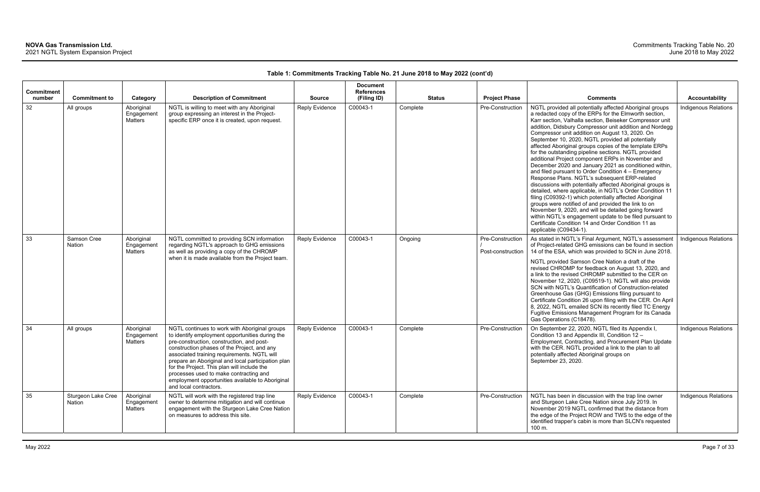| <b>Commitment</b> |                              |                                     |                                                                                                                                                                                                                                                                                                                                                                                                                                                                          |                       | <b>Document</b><br><b>References</b> |               |                                       |                                                                                                                                                                                                                                                                                                                                                                                                                                                                                                                                                                                                                                                                                                                                                                                                                                                                                                                                                                                                                                                                                                                                         |                             |
|-------------------|------------------------------|-------------------------------------|--------------------------------------------------------------------------------------------------------------------------------------------------------------------------------------------------------------------------------------------------------------------------------------------------------------------------------------------------------------------------------------------------------------------------------------------------------------------------|-----------------------|--------------------------------------|---------------|---------------------------------------|-----------------------------------------------------------------------------------------------------------------------------------------------------------------------------------------------------------------------------------------------------------------------------------------------------------------------------------------------------------------------------------------------------------------------------------------------------------------------------------------------------------------------------------------------------------------------------------------------------------------------------------------------------------------------------------------------------------------------------------------------------------------------------------------------------------------------------------------------------------------------------------------------------------------------------------------------------------------------------------------------------------------------------------------------------------------------------------------------------------------------------------------|-----------------------------|
| number            | <b>Commitment to</b>         | Category                            | <b>Description of Commitment</b>                                                                                                                                                                                                                                                                                                                                                                                                                                         | <b>Source</b>         | (Filing ID)                          | <b>Status</b> | <b>Project Phase</b>                  | <b>Comments</b>                                                                                                                                                                                                                                                                                                                                                                                                                                                                                                                                                                                                                                                                                                                                                                                                                                                                                                                                                                                                                                                                                                                         | <b>Accountability</b>       |
| 32                | All groups                   | Aboriginal<br>Engagement<br>Matters | NGTL is willing to meet with any Aboriginal<br>group expressing an interest in the Project-<br>specific ERP once it is created, upon request.                                                                                                                                                                                                                                                                                                                            | <b>Reply Evidence</b> | C00043-1                             | Complete      | Pre-Construction                      | NGTL provided all potentially affected Aboriginal groups<br>a redacted copy of the ERPs for the Elmworth section,<br>Karr section, Valhalla section, Beiseker Compressor unit<br>addition, Didsbury Compressor unit addition and Nordegg<br>Compressor unit addition on August 13, 2020. On<br>September 10, 2020, NGTL provided all potentially<br>affected Aboriginal groups copies of the template ERPs<br>for the outstanding pipeline sections. NGTL provided<br>additional Project component ERPs in November and<br>December 2020 and January 2021 as conditioned within,<br>and filed pursuant to Order Condition 4 - Emergency<br>Response Plans. NGTL's subsequent ERP-related<br>discussions with potentially affected Aboriginal groups is<br>detailed, where applicable, in NGTL's Order Condition 11<br>filing (C09392-1) which potentially affected Aboriginal<br>groups were notified of and provided the link to on<br>November 9, 2020, and will be detailed going forward<br>within NGTL's engagement update to be filed pursuant to<br>Certificate Condition 14 and Order Condition 11 as<br>applicable (C09434-1). | Indigenous Relations        |
| 33                | Samson Cree<br>Nation        | Aboriginal<br>Engagement<br>Matters | NGTL committed to providing SCN information<br>regarding NGTL's approach to GHG emissions<br>as well as providing a copy of the CHROMP<br>when it is made available from the Project team.                                                                                                                                                                                                                                                                               | <b>Reply Evidence</b> | C00043-1                             | Ongoing       | Pre-Construction<br>Post-construction | As stated in NGTL's Final Argument, NGTL's assessment<br>of Project-related GHG emissions can be found in section<br>14 of the ESA, which was provided to SCN in June 2018.<br>NGTL provided Samson Cree Nation a draft of the<br>revised CHROMP for feedback on August 13, 2020, and<br>a link to the revised CHROMP submitted to the CER on<br>November 12, 2020, (C09519-1). NGTL will also provide<br>SCN with NGTL's Quantification of Construction-related<br>Greenhouse Gas (GHG) Emissions filing pursuant to<br>Certificate Condition 26 upon filing with the CER. On April<br>8, 2022, NGTL emailed SCN its recently filed TC Energy<br>Fugitive Emissions Management Program for its Canada<br>Gas Operations (C18478).                                                                                                                                                                                                                                                                                                                                                                                                      | <b>Indigenous Relations</b> |
| 34                | All groups                   | Aboriginal<br>Engagement<br>Matters | NGTL continues to work with Aboriginal groups<br>to identify employment opportunities during the<br>pre-construction, construction, and post-<br>construction phases of the Project, and any<br>associated training requirements. NGTL will<br>prepare an Aboriginal and local participation plan<br>for the Project. This plan will include the<br>processes used to make contracting and<br>employment opportunities available to Aboriginal<br>and local contractors. | Reply Evidence        | C00043-1                             | Complete      | Pre-Construction                      | On September 22, 2020, NGTL filed its Appendix I,<br>Condition 13 and Appendix III, Condition 12 -<br>Employment, Contracting, and Procurement Plan Update<br>with the CER. NGTL provided a link to the plan to all<br>potentially affected Aboriginal groups on<br>September 23, 2020.                                                                                                                                                                                                                                                                                                                                                                                                                                                                                                                                                                                                                                                                                                                                                                                                                                                 | <b>Indigenous Relations</b> |
| 35                | Sturgeon Lake Cree<br>Nation | Aboriginal<br>Engagement<br>Matters | NGTL will work with the registered trap line<br>owner to determine mitigation and will continue<br>engagement with the Sturgeon Lake Cree Nation<br>on measures to address this site.                                                                                                                                                                                                                                                                                    | Reply Evidence        | C00043-1                             | Complete      | Pre-Construction                      | NGTL has been in discussion with the trap line owner<br>and Sturgeon Lake Cree Nation since July 2019. In<br>November 2019 NGTL confirmed that the distance from<br>the edge of the Project ROW and TWS to the edge of the<br>identified trapper's cabin is more than SLCN's requested<br>100 m.                                                                                                                                                                                                                                                                                                                                                                                                                                                                                                                                                                                                                                                                                                                                                                                                                                        | <b>Indigenous Relations</b> |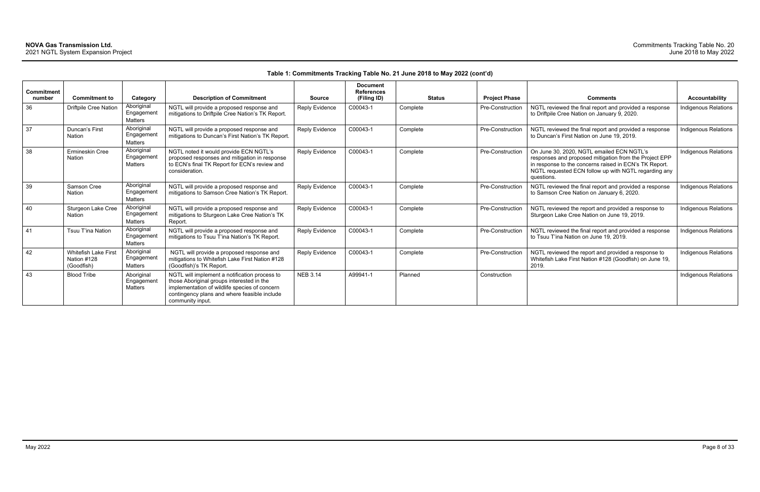|                             |                                                   |                                                 |                                                                                                                                                                                                                 |                       | <b>Document</b>                  |               |                      |                                                                                                                                                                                                                                     |                             |
|-----------------------------|---------------------------------------------------|-------------------------------------------------|-----------------------------------------------------------------------------------------------------------------------------------------------------------------------------------------------------------------|-----------------------|----------------------------------|---------------|----------------------|-------------------------------------------------------------------------------------------------------------------------------------------------------------------------------------------------------------------------------------|-----------------------------|
| <b>Commitment</b><br>number | <b>Commitment to</b>                              | Category                                        | <b>Description of Commitment</b>                                                                                                                                                                                | <b>Source</b>         | <b>References</b><br>(Filing ID) | <b>Status</b> | <b>Project Phase</b> | <b>Comments</b>                                                                                                                                                                                                                     | <b>Accountability</b>       |
| 36                          | Driftpile Cree Nation                             | Aboriginal<br>Engagement<br><b>Matters</b>      | NGTL will provide a proposed response and<br>mitigations to Driftpile Cree Nation's TK Report.                                                                                                                  | <b>Reply Evidence</b> | C00043-1                         | Complete      | Pre-Construction     | NGTL reviewed the final report and provided a response<br>to Driftpile Cree Nation on January 9, 2020.                                                                                                                              | Indigenous Relations        |
| 37                          | Duncan's First<br>Nation                          | Aboriginal<br>Engagement<br><b>Matters</b>      | NGTL will provide a proposed response and<br>mitigations to Duncan's First Nation's TK Report.                                                                                                                  | Reply Evidence        | C00043-1                         | Complete      | Pre-Construction     | NGTL reviewed the final report and provided a response<br>to Duncan's First Nation on June 19, 2019.                                                                                                                                | <b>Indigenous Relations</b> |
| 38                          | Ermineskin Cree<br>Nation                         | Aboriginal<br>Engagemen<br>Matters              | NGTL noted it would provide ECN NGTL's<br>proposed responses and mitigation in response<br>to ECN's final TK Report for ECN's review and<br>consideration.                                                      | Reply Evidence        | C00043-1                         | Complete      | Pre-Construction     | On June 30, 2020, NGTL emailed ECN NGTL's<br>responses and proposed mitigation from the Project EPP<br>in response to the concerns raised in ECN's TK Report.<br>NGTL requested ECN follow up with NGTL regarding any<br>questions. | Indigenous Relations        |
| 39                          | Samson Cree<br>Nation                             | Aboriginal<br>Engagemen<br>Matters              | NGTL will provide a proposed response and<br>mitigations to Samson Cree Nation's TK Report.                                                                                                                     | Reply Evidence        | C00043-1                         | Complete      | Pre-Construction     | NGTL reviewed the final report and provided a response<br>to Samson Cree Nation on January 6, 2020.                                                                                                                                 | Indigenous Relations        |
| 40                          | Sturgeon Lake Cree<br>Nation                      | Aboriginal<br>Engagement<br>Matters             | NGTL will provide a proposed response and<br>mitigations to Sturgeon Lake Cree Nation's TK<br>Report.                                                                                                           | Reply Evidence        | C00043-1                         | Complete      | Pre-Construction     | NGTL reviewed the report and provided a response to<br>Sturgeon Lake Cree Nation on June 19, 2019.                                                                                                                                  | <b>Indigenous Relations</b> |
| 41                          | Tsuu T'ina Nation                                 | Aboriginal<br>Engagemen <sup>t</sup><br>Matters | NGTL will provide a proposed response and<br>mitigations to Tsuu T'ina Nation's TK Report.                                                                                                                      | <b>Reply Evidence</b> | C00043-1                         | Complete      | Pre-Construction     | NGTL reviewed the final report and provided a response<br>to Tsuu T'ina Nation on June 19, 2019.                                                                                                                                    | Indigenous Relations        |
| 42                          | Whitefish Lake First<br>Nation #128<br>(Goodfish) | Aboriginal<br>Engagement<br>Matters             | NGTL will provide a proposed response and<br>mitigations to Whitefish Lake First Nation #128<br>(Goodfish)'s TK Report.                                                                                         | Reply Evidence        | C00043-1                         | Complete      | Pre-Construction     | NGTL reviewed the report and provided a response to<br>Whitefish Lake First Nation #128 (Goodfish) on June 19,<br>2019.                                                                                                             | Indigenous Relations        |
| 43                          | <b>Blood Tribe</b>                                | Aboriginal<br>Engagemen<br>Matters              | NGTL will implement a notification process to<br>those Aboriginal groups interested in the<br>implementation of wildlife species of concern<br>contingency plans and where feasible include<br>community input. | <b>NEB 3.14</b>       | A99941-1                         | Planned       | Construction         |                                                                                                                                                                                                                                     | Indigenous Relations        |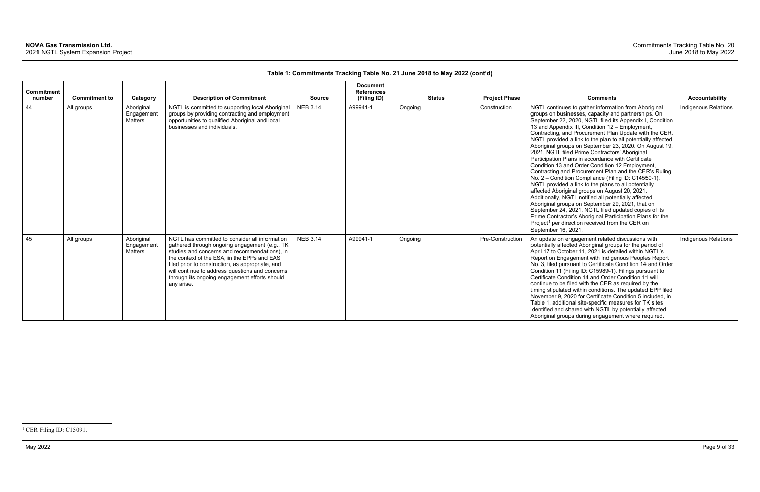| <b>Commitment</b><br>number | <b>Commitment to</b> | Category                                   | <b>Description of Commitment</b>                                                                                                                                                                                                                                                                                                                                      | <b>Source</b>   | <b>Document</b><br><b>References</b><br>(Filing ID) | <b>Status</b> | <b>Project Phase</b> | <b>Comments</b>                                                                                                                                                                                                                                                                                                                                                                                                                                                                                                                                                                                                                                                                                                                                                                                                                                                                                                                                                                                                                                                                                                            | Accountability              |
|-----------------------------|----------------------|--------------------------------------------|-----------------------------------------------------------------------------------------------------------------------------------------------------------------------------------------------------------------------------------------------------------------------------------------------------------------------------------------------------------------------|-----------------|-----------------------------------------------------|---------------|----------------------|----------------------------------------------------------------------------------------------------------------------------------------------------------------------------------------------------------------------------------------------------------------------------------------------------------------------------------------------------------------------------------------------------------------------------------------------------------------------------------------------------------------------------------------------------------------------------------------------------------------------------------------------------------------------------------------------------------------------------------------------------------------------------------------------------------------------------------------------------------------------------------------------------------------------------------------------------------------------------------------------------------------------------------------------------------------------------------------------------------------------------|-----------------------------|
| 44                          | All groups           | Aboriginal<br>Engagement<br><b>Matters</b> | NGTL is committed to supporting local Aboriginal<br>groups by providing contracting and employment<br>opportunities to qualified Aboriginal and local<br>businesses and individuals.                                                                                                                                                                                  | <b>NEB 3.14</b> | A99941-1                                            | Ongoing       | Construction         | NGTL continues to gather information from Aboriginal<br>groups on businesses, capacity and partnerships. On<br>September 22, 2020, NGTL filed its Appendix I, Condition<br>13 and Appendix III, Condition 12 - Employment,<br>Contracting, and Procurement Plan Update with the CER.<br>NGTL provided a link to the plan to all potentially affected<br>Aboriginal groups on September 23, 2020. On August 19,<br>2021, NGTL filed Prime Contractors' Aboriginal<br>Participation Plans in accordance with Certificate<br>Condition 13 and Order Condition 12 Employment,<br>Contracting and Procurement Plan and the CER's Ruling<br>No. 2 - Condition Compliance (Filing ID: C14550-1).<br>NGTL provided a link to the plans to all potentially<br>affected Aboriginal groups on August 20, 2021.<br>Additionally, NGTL notified all potentially affected<br>Aboriginal groups on September 29, 2021, that on<br>September 24, 2021, NGTL filed updated copies of its<br>Prime Contractor's Aboriginal Participation Plans for the<br>Project <sup>1</sup> per direction received from the CER on<br>September 16, 2021. | <b>Indigenous Relations</b> |
| 45                          | All groups           | Aboriginal<br>Engagement<br><b>Matters</b> | NGTL has committed to consider all information<br>gathered through ongoing engagement (e.g., TK<br>studies and concerns and recommendations), in<br>the context of the ESA, in the EPPs and EAS<br>filed prior to construction, as appropriate, and<br>will continue to address questions and concerns<br>through its ongoing engagement efforts should<br>any arise. | <b>NEB 3.14</b> | A99941-1                                            | Ongoing       | Pre-Construction     | An update on engagement related discussions with<br>potentially affected Aboriginal groups for the period of<br>April 17 to October 11, 2021 is detailed within NGTL's<br>Report on Engagement with Indigenous Peoples Report<br>No. 3, filed pursuant to Certificate Condition 14 and Order<br>Condition 11 (Filing ID: C15989-1). Filings pursuant to<br>Certificate Condition 14 and Order Condition 11 will<br>continue to be filed with the CER as required by the<br>timing stipulated within conditions. The updated EPP filed<br>November 9, 2020 for Certificate Condition 5 included, in<br>Table 1, additional site-specific measures for TK sites<br>identified and shared with NGTL by potentially affected<br>Aboriginal groups during engagement where required.                                                                                                                                                                                                                                                                                                                                            | Indigenous Relations        |

<sup>&</sup>lt;sup>1</sup> CER Filing ID: C15091.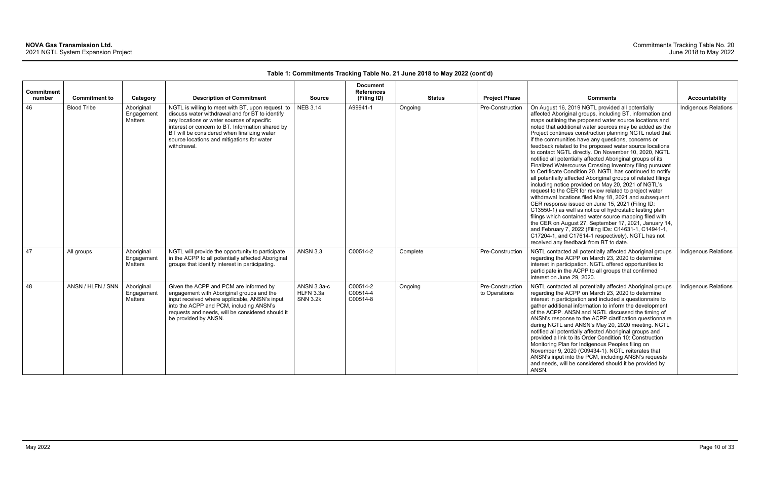| <b>Commitment</b><br>number | <b>Commitment to</b> | Category                                   | <b>Description of Commitment</b>                                                                                                                                                                                                                                                                                   | <b>Source</b>                               | <b>Document</b><br><b>References</b><br>(Filing ID) | <b>Status</b> | <b>Project Phase</b>              | <b>Comments</b>                                                                                                                                                                                                                                                                                                                                                                                                                                                                                                                                                                                                                                                                                                                                                                                                                                                                                                                                                                                                                                                                                                                                                                                                                                                                                       | Accountability              |
|-----------------------------|----------------------|--------------------------------------------|--------------------------------------------------------------------------------------------------------------------------------------------------------------------------------------------------------------------------------------------------------------------------------------------------------------------|---------------------------------------------|-----------------------------------------------------|---------------|-----------------------------------|-------------------------------------------------------------------------------------------------------------------------------------------------------------------------------------------------------------------------------------------------------------------------------------------------------------------------------------------------------------------------------------------------------------------------------------------------------------------------------------------------------------------------------------------------------------------------------------------------------------------------------------------------------------------------------------------------------------------------------------------------------------------------------------------------------------------------------------------------------------------------------------------------------------------------------------------------------------------------------------------------------------------------------------------------------------------------------------------------------------------------------------------------------------------------------------------------------------------------------------------------------------------------------------------------------|-----------------------------|
| 46                          | <b>Blood Tribe</b>   | Aboriginal<br>Engagement<br>Matters        | NGTL is willing to meet with BT, upon request, to<br>discuss water withdrawal and for BT to identify<br>any locations or water sources of specific<br>interest or concern to BT. Information shared by<br>BT will be considered when finalizing water<br>source locations and mitigations for water<br>withdrawal. | <b>NEB 3.14</b>                             | A99941-1                                            | Ongoing       | Pre-Construction                  | On August 16, 2019 NGTL provided all potentially<br>affected Aboriginal groups, including BT, information and<br>maps outlining the proposed water source locations and<br>noted that additional water sources may be added as the<br>Project continues construction planning NGTL noted that<br>if the communities have any questions, concerns or<br>feedback related to the proposed water source locations<br>to contact NGTL directly. On November 10, 2020, NGTL<br>notified all potentially affected Aboriginal groups of its<br>Finalized Watercourse Crossing Inventory filing pursuant<br>to Certificate Condition 20. NGTL has continued to notify<br>all potentially affected Aboriginal groups of related filings<br>including notice provided on May 20, 2021 of NGTL's<br>request to the CER for review related to project water<br>withdrawal locations filed May 18, 2021 and subsequent<br>CER response issued on June 15, 2021 (Filing ID:<br>C13550-1) as well as notice of hydrostatic testing plan<br>filings which contained water source mapping filed with<br>the CER on August 27, September 17, 2021, January 14,<br>and February 7, 2022 (Filing IDs: C14631-1, C14941-1,<br>C17204-1, and C17614-1 respectively). NGTL has not<br>received any feedback from BT to date. | <b>Indigenous Relations</b> |
| 47                          | All groups           | Aboriginal<br>Engagement<br><b>Matters</b> | NGTL will provide the opportunity to participate<br>in the ACPP to all potentially affected Aboriginal<br>groups that identify interest in participating.                                                                                                                                                          | <b>ANSN 3.3</b>                             | C00514-2                                            | Complete      | Pre-Construction                  | NGTL contacted all potentially affected Aboriginal groups<br>regarding the ACPP on March 23, 2020 to determine<br>interest in participation. NGTL offered opportunities to<br>participate in the ACPP to all groups that confirmed<br>interest on June 29, 2020.                                                                                                                                                                                                                                                                                                                                                                                                                                                                                                                                                                                                                                                                                                                                                                                                                                                                                                                                                                                                                                      | Indigenous Relations        |
| 48                          | ANSN / HLFN / SNN    | Aboriginal<br>Engagement<br><b>Matters</b> | Given the ACPP and PCM are informed by<br>engagement with Aboriginal groups and the<br>input received where applicable, ANSN's input<br>into the ACPP and PCM, including ANSN's<br>requests and needs, will be considered should it<br>be provided by ANSN.                                                        | ANSN 3.3a-c<br>HLFN 3.3a<br><b>SNN 3.2k</b> | C00514-2<br>C00514-4<br>C00514-8                    | Ongoing       | Pre-Construction<br>to Operations | NGTL contacted all potentially affected Aboriginal groups<br>regarding the ACPP on March 23, 2020 to determine<br>interest in participation and included a questionnaire to<br>gather additional information to inform the development<br>of the ACPP. ANSN and NGTL discussed the timing of<br>ANSN's response to the ACPP clarification questionnaire<br>during NGTL and ANSN's May 20, 2020 meeting. NGTL<br>notified all potentially affected Aboriginal groups and<br>provided a link to its Order Condition 10: Construction<br>Monitoring Plan for Indigenous Peoples filing on<br>November 9, 2020 (C09434-1). NGTL reiterates that<br>ANSN's input into the PCM, including ANSN's requests<br>and needs, will be considered should it be provided by<br>ANSN.                                                                                                                                                                                                                                                                                                                                                                                                                                                                                                                                | <b>Indigenous Relations</b> |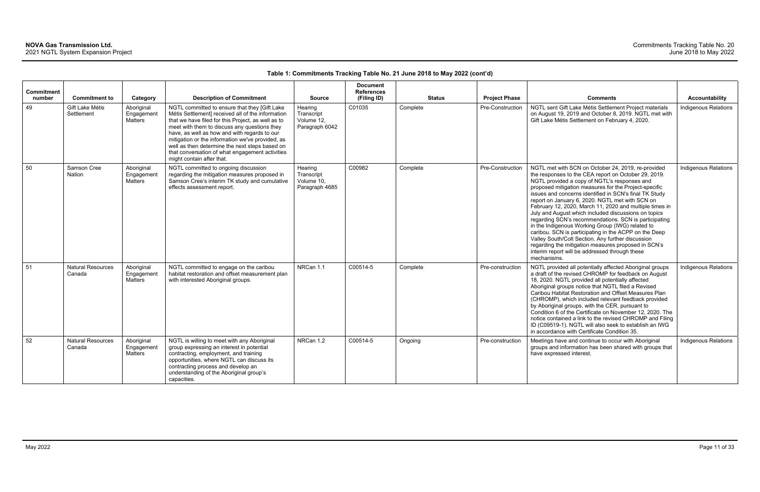| <b>Commitment</b><br>number | <b>Commitment to</b>               | Category                                   | <b>Description of Commitment</b>                                                                                                                                                                                                                                                                                                                                                                                                               | <b>Source</b>                                         | <b>Document</b><br><b>References</b><br>(Filing ID) | <b>Status</b> | <b>Project Phase</b> | <b>Comments</b>                                                                                                                                                                                                                                                                                                                                                                                                                                                                                                                                                                                                                                                                                                                                                                                        | <b>Accountability</b>       |
|-----------------------------|------------------------------------|--------------------------------------------|------------------------------------------------------------------------------------------------------------------------------------------------------------------------------------------------------------------------------------------------------------------------------------------------------------------------------------------------------------------------------------------------------------------------------------------------|-------------------------------------------------------|-----------------------------------------------------|---------------|----------------------|--------------------------------------------------------------------------------------------------------------------------------------------------------------------------------------------------------------------------------------------------------------------------------------------------------------------------------------------------------------------------------------------------------------------------------------------------------------------------------------------------------------------------------------------------------------------------------------------------------------------------------------------------------------------------------------------------------------------------------------------------------------------------------------------------------|-----------------------------|
| 49                          | Gift Lake Métis<br>Settlement      | Aboriginal<br>Engagement<br><b>Matters</b> | NGTL committed to ensure that they [Gift Lake<br>Métis Settlement] received all of the information<br>that we have filed for this Project, as well as to<br>meet with them to discuss any questions they<br>have, as well as how and with regards to our<br>mitigation or the information we've provided, as<br>well as then determine the next steps based on<br>that conversation of what engagement activities<br>might contain after that. | Hearing<br>Transcript<br>Volume 12,<br>Paragraph 6042 | C01035                                              | Complete      | Pre-Construction     | NGTL sent Gift Lake Métis Settlement Project materials<br>on August 19, 2019 and October 8, 2019. NGTL met with<br>Gift Lake Métis Settlement on February 4, 2020.                                                                                                                                                                                                                                                                                                                                                                                                                                                                                                                                                                                                                                     | Indigenous Relations        |
| 50                          | Samson Cree<br><b>Nation</b>       | Aboriginal<br>Engagement<br><b>Matters</b> | NGTL committed to ongoing discussion<br>regarding the mitigation measures proposed in<br>Samson Cree's interim TK study and cumulative<br>effects assessment report.                                                                                                                                                                                                                                                                           | Hearing<br>Transcript<br>Volume 10,<br>Paragraph 4685 | C00982                                              | Complete      | Pre-Construction     | NGTL met with SCN on October 24, 2019, re-provided<br>the responses to the CEA report on October 29, 2019.<br>NGTL provided a copy of NGTL's responses and<br>proposed mitigation measures for the Project-specific<br>issues and concerns identified in SCN's final TK Study<br>report on January 6, 2020. NGTL met with SCN on<br>February 12, 2020, March 11, 2020 and multiple times in<br>July and August which included discussions on topics<br>regarding SCN's recommendations. SCN is participating<br>in the Indigenous Working Group (IWG) related to<br>caribou. SCN is participating in the ACPP on the Deep<br>Valley South/Colt Section. Any further discussion<br>regarding the mitigation measures proposed in SCN's<br>interim report will be addressed through these<br>mechanisms. | <b>Indigenous Relations</b> |
| 51                          | <b>Natural Resources</b><br>Canada | Aboriginal<br>Engagement<br><b>Matters</b> | NGTL committed to engage on the caribou<br>habitat restoration and offset measurement plan<br>with interested Aboriginal groups.                                                                                                                                                                                                                                                                                                               | NRCan 1.1                                             | C00514-5                                            | Complete      | Pre-construction     | NGTL provided all potentially affected Aboriginal groups<br>a draft of the revised CHROMP for feedback on August<br>18, 2020. NGTL provided all potentially affected<br>Aboriginal groups notice that NGTL filed a Revised<br>Caribou Habitat Restoration and Offset Measures Plan<br>(CHROMP), which included relevant feedback provided<br>by Aboriginal groups, with the CER, pursuant to<br>Condition 6 of the Certificate on November 12, 2020. The<br>notice contained a link to the revised CHROMP and Filing<br>ID (C09519-1). NGTL will also seek to establish an IWG<br>in accordance with Certificate Condition 35.                                                                                                                                                                         | Indigenous Relations        |
| 52                          | <b>Natural Resources</b><br>Canada | Aboriginal<br>Engagement<br>Matters        | NGTL is willing to meet with any Aboriginal<br>group expressing an interest in potential<br>contracting, employment, and training<br>opportunities, where NGTL can discuss its<br>contracting process and develop an<br>understanding of the Aboriginal group's<br>capacities.                                                                                                                                                                 | NRCan 1.2                                             | C00514-5                                            | Ongoing       | Pre-construction     | Meetings have and continue to occur with Aboriginal<br>groups and information has been shared with groups that<br>have expressed interest.                                                                                                                                                                                                                                                                                                                                                                                                                                                                                                                                                                                                                                                             | <b>Indigenous Relations</b> |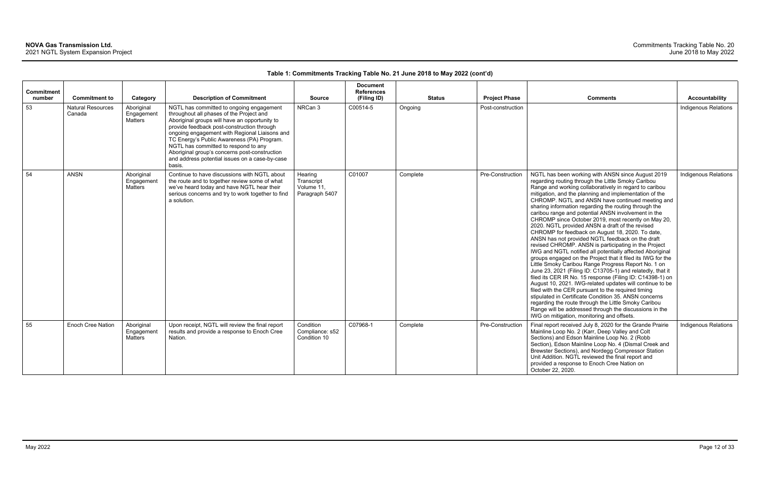| <b>Commitment</b><br>number | <b>Commitment to</b>               | Category                            | <b>Description of Commitment</b>                                                                                                                                                                                                                                                                                                                                                                                                        | <b>Source</b>                                         | <b>Document</b><br><b>References</b><br>(Filing ID) | <b>Status</b> | <b>Project Phase</b> | <b>Comments</b>                                                                                                                                                                                                                                                                                                                                                                                                                                                                                                                                                                                                                                                                                                                                                                                                                                                                                                                                                                                                                                                                                                                                                                                                                                                                                                                    | <b>Accountability</b>       |
|-----------------------------|------------------------------------|-------------------------------------|-----------------------------------------------------------------------------------------------------------------------------------------------------------------------------------------------------------------------------------------------------------------------------------------------------------------------------------------------------------------------------------------------------------------------------------------|-------------------------------------------------------|-----------------------------------------------------|---------------|----------------------|------------------------------------------------------------------------------------------------------------------------------------------------------------------------------------------------------------------------------------------------------------------------------------------------------------------------------------------------------------------------------------------------------------------------------------------------------------------------------------------------------------------------------------------------------------------------------------------------------------------------------------------------------------------------------------------------------------------------------------------------------------------------------------------------------------------------------------------------------------------------------------------------------------------------------------------------------------------------------------------------------------------------------------------------------------------------------------------------------------------------------------------------------------------------------------------------------------------------------------------------------------------------------------------------------------------------------------|-----------------------------|
| 53                          | <b>Natural Resources</b><br>Canada | Aboriginal<br>Engagement<br>Matters | NGTL has committed to ongoing engagement<br>throughout all phases of the Project and<br>Aboriginal groups will have an opportunity to<br>provide feedback post-construction through<br>ongoing engagement with Regional Liaisons and<br>TC Energy's Public Awareness (PA) Program.<br>NGTL has committed to respond to any<br>Aboriginal group's concerns post-construction<br>and address potential issues on a case-by-case<br>basis. | NRCan 3                                               | C00514-5                                            | Ongoing       | Post-construction    |                                                                                                                                                                                                                                                                                                                                                                                                                                                                                                                                                                                                                                                                                                                                                                                                                                                                                                                                                                                                                                                                                                                                                                                                                                                                                                                                    | Indigenous Relations        |
| 54                          | <b>ANSN</b>                        | Aboriginal<br>Engagement<br>Matters | Continue to have discussions with NGTL about<br>the route and to together review some of what<br>we've heard today and have NGTL hear their<br>serious concerns and try to work together to find<br>a solution.                                                                                                                                                                                                                         | Hearing<br>Transcript<br>Volume 11,<br>Paragraph 5407 | C01007                                              | Complete      | Pre-Construction     | NGTL has been working with ANSN since August 2019<br>regarding routing through the Little Smoky Caribou<br>Range and working collaboratively in regard to caribou<br>mitigation, and the planning and implementation of the<br>CHROMP. NGTL and ANSN have continued meeting and<br>sharing information regarding the routing through the<br>caribou range and potential ANSN involvement in the<br>CHROMP since October 2019, most recently on May 20,<br>2020. NGTL provided ANSN a draft of the revised<br>CHROMP for feedback on August 18, 2020. To date,<br>ANSN has not provided NGTL feedback on the draft<br>revised CHROMP. ANSN is participating in the Project<br>IWG and NGTL notified all potentially affected Aboriginal<br>groups engaged on the Project that it filed its IWG for the<br>Little Smoky Caribou Range Progress Report No. 1 on<br>June 23, 2021 (Filing ID: C13705-1) and relatedly, that it<br>filed its CER IR No. 15 response (Filing ID: C14398-1) on<br>August 10, 2021. IWG-related updates will continue to be<br>filed with the CER pursuant to the required timing<br>stipulated in Certificate Condition 35. ANSN concerns<br>regarding the route through the Little Smoky Caribou<br>Range will be addressed through the discussions in the<br>IWG on mitigation, monitoring and offsets. | Indigenous Relations        |
| 55                          | <b>Enoch Cree Nation</b>           | Aboriginal<br>Engagement<br>Matters | Upon receipt, NGTL will review the final report<br>results and provide a response to Enoch Cree<br>Nation.                                                                                                                                                                                                                                                                                                                              | Condition<br>Compliance: s52<br>Condition 10          | C07968-1                                            | Complete      | Pre-Construction     | Final report received July 8, 2020 for the Grande Prairie<br>Mainline Loop No. 2 (Karr, Deep Valley and Colt<br>Sections) and Edson Mainline Loop No. 2 (Robb<br>Section), Edson Mainline Loop No. 4 (Dismal Creek and<br>Brewster Sections), and Nordegg Compressor Station<br>Unit Addition. NGTL reviewed the final report and<br>provided a response to Enoch Cree Nation on<br>October 22, 2020.                                                                                                                                                                                                                                                                                                                                                                                                                                                                                                                                                                                                                                                                                                                                                                                                                                                                                                                              | <b>Indigenous Relations</b> |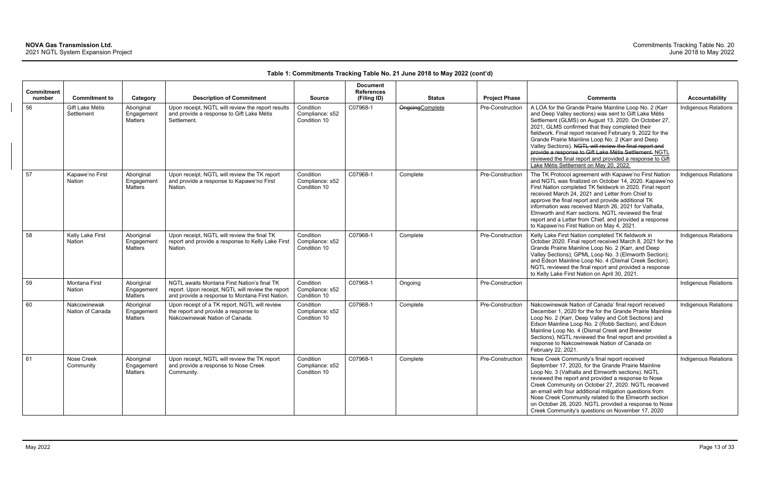| Commitment<br>number | <b>Commitment to</b>             | Category                            | <b>Description of Commitment</b>                                                                                                                    | <b>Source</b>                                | <b>Document</b><br><b>References</b><br>(Filing ID) | <b>Status</b>           | <b>Project Phase</b> | <b>Comments</b>                                                                                                                                                                                                                                                                                                                                                                                                                                                                                                                                                        | <b>Accountability</b>       |
|----------------------|----------------------------------|-------------------------------------|-----------------------------------------------------------------------------------------------------------------------------------------------------|----------------------------------------------|-----------------------------------------------------|-------------------------|----------------------|------------------------------------------------------------------------------------------------------------------------------------------------------------------------------------------------------------------------------------------------------------------------------------------------------------------------------------------------------------------------------------------------------------------------------------------------------------------------------------------------------------------------------------------------------------------------|-----------------------------|
| 56                   | Gift Lake Métis<br>Settlement    | Aboriginal<br>Engagement<br>Matters | Upon receipt, NGTL will review the report results<br>and provide a response to Gift Lake Métis<br>Settlement.                                       | Condition<br>Compliance: s52<br>Condition 10 | C07968-1                                            | <b>Ongoing</b> Complete | Pre-Construction     | A LOA for the Grande Prairie Mainline Loop No. 2 (Karr<br>and Deep Valley sections) was sent to Gift Lake Métis<br>Settlement (GLMS) on August 13, 2020. On October 27,<br>2021, GLMS confirmed that they completed their<br>fieldwork. Final report received February 9, 2022 for the<br>Grande Prairie Mainline Loop No. 2 (Karr and Deep<br>Valley Sections). NGTL will review the final report and<br>provide a response to Gift Lake Métis Settlement. NGTL<br>reviewed the final report and provided a response to Gift<br>Lake Métis Settlement on May 20, 2022 | Indigenous Relations        |
| 57                   | Kapawe'no First<br>Nation        | Aboriginal<br>Engagement<br>Matters | Upon receipt, NGTL will review the TK report<br>and provide a response to Kapawe'no First<br>Nation.                                                | Condition<br>Compliance: s52<br>Condition 10 | C07968-1                                            | Complete                | Pre-Construction     | The TK Protocol agreement with Kapawe'no First Nation<br>and NGTL was finalized on October 14, 2020. Kapawe'no<br>First Nation completed TK fieldwork in 2020. Final report<br>received March 24, 2021 and Letter from Chief to<br>approve the final report and provide additional TK<br>information was received March 26, 2021 for Valhalla,<br>Elmworth and Karr sections. NGTL reviewed the final<br>report and a Letter from Chief, and provided a response<br>to Kapawe'no First Nation on May 4, 2021.                                                          | Indigenous Relations        |
| 58                   | Kelly Lake First<br>Nation       | Aboriginal<br>Engagement<br>Matters | Upon receipt, NGTL will review the final TK<br>report and provide a response to Kelly Lake First<br>Nation.                                         | Condition<br>Compliance: s52<br>Condition 10 | C07968-1                                            | Complete                | Pre-Construction     | Kelly Lake First Nation completed TK fieldwork in<br>October 2020. Final report received March 8, 2021 for the<br>Grande Prairie Mainline Loop No. 2 (Karr, and Deep<br>Valley Sections); GPML Loop No. 3 (Elmworth Section);<br>and Edson Mainline Loop No. 4 (Dismal Creek Section).<br>NGTL reviewed the final report and provided a response<br>to Kelly Lake First Nation on April 30, 2021.                                                                                                                                                                      | Indigenous Relations        |
| 59                   | Montana First<br><b>Nation</b>   | Aboriginal<br>Engagement<br>Matters | NGTL awaits Montana First Nation's final TK<br>report. Upon receipt, NGTL will review the report<br>and provide a response to Montana First Nation. | Condition<br>Compliance: s52<br>Condition 10 | C07968-1                                            | Ongoing                 | Pre-Construction     |                                                                                                                                                                                                                                                                                                                                                                                                                                                                                                                                                                        | <b>Indigenous Relations</b> |
| 60                   | Nakcowinewak<br>Nation of Canada | Aboriginal<br>Engagement<br>Matters | Upon receipt of a TK report, NGTL will review<br>the report and provide a response to<br>Nakcowinewak Nation of Canada.                             | Condition<br>Compliance: s52<br>Condition 10 | C07968-1                                            | Complete                | Pre-Construction     | Nakcowinewak Nation of Canada' final report received<br>December 1, 2020 for the for the Grande Prairie Mainline<br>Loop No. 2 (Karr, Deep Valley and Colt Sections) and<br>Edson Mainline Loop No. 2 (Robb Section), and Edson<br>Mainline Loop No. 4 (Dismal Creek and Brewster<br>Sections), NGTL reviewed the final report and provided a<br>response to Nakcowinewak Nation of Canada on<br>February 22, 2021.                                                                                                                                                    | Indigenous Relations        |
| 61                   | Nose Creek<br>Community          | Aboriginal<br>Engagement<br>Matters | Upon receipt, NGTL will review the TK report<br>and provide a response to Nose Creek<br>Community.                                                  | Condition<br>Compliance: s52<br>Condition 10 | C07968-1                                            | Complete                | Pre-Construction     | Nose Creek Community's final report received<br>September 17, 2020, for the Grande Prairie Mainline<br>Loop No. 3 (Valhalla and Elmworth sections). NGTL<br>reviewed the report and provided a response to Nose<br>Creek Community on October 27, 2020. NGTL received<br>an email with four additional mitigation questions from<br>Nose Creek Community related to the Elmworth section<br>on October 28, 2020. NGTL provided a response to Nose<br>Creek Community's questions on November 17, 2020                                                                  | <b>Indigenous Relations</b> |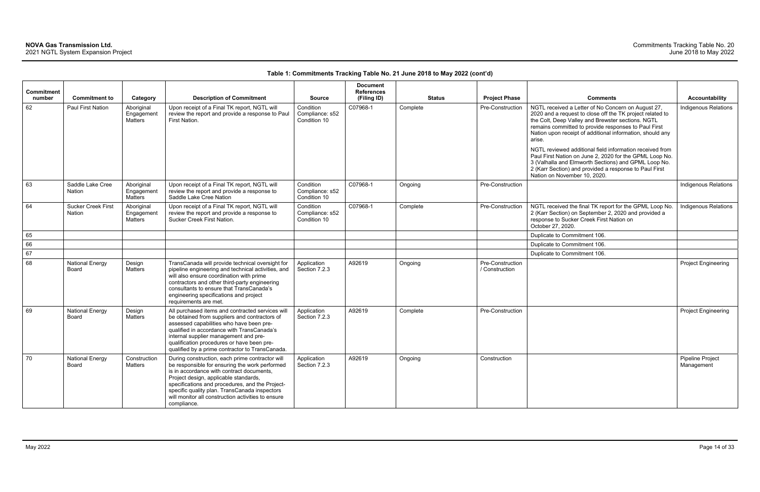| <b>Commitment</b><br>number | <b>Commitment to</b>                | Category                            | <b>Description of Commitment</b>                                                                                                                                                                                                                                                                                                                                 | <b>Source</b>                                | <b>Document</b><br><b>References</b><br>(Filing ID) |          | <b>Status</b> | <b>Project Phase</b>               | <b>Comments</b>                                                                                                                                                                                                                                                                                                                                                 | <b>Accountability</b>          |
|-----------------------------|-------------------------------------|-------------------------------------|------------------------------------------------------------------------------------------------------------------------------------------------------------------------------------------------------------------------------------------------------------------------------------------------------------------------------------------------------------------|----------------------------------------------|-----------------------------------------------------|----------|---------------|------------------------------------|-----------------------------------------------------------------------------------------------------------------------------------------------------------------------------------------------------------------------------------------------------------------------------------------------------------------------------------------------------------------|--------------------------------|
| 62                          | <b>Paul First Nation</b>            | Aboriginal<br>Engagement<br>Matters | Upon receipt of a Final TK report, NGTL will<br>review the report and provide a response to Paul<br>First Nation.                                                                                                                                                                                                                                                | Condition<br>Compliance: s52<br>Condition 10 | C07968-1                                            | Complete |               | Pre-Construction                   | NGTL received a Letter of No Concern on August 27,<br>2020 and a request to close off the TK project related to<br>the Colt, Deep Valley and Brewster sections. NGTL<br>remains committed to provide responses to Paul First<br>Nation upon receipt of additional information, should any<br>arise.<br>NGTL reviewed additional field information received from | Indigenous Relations           |
|                             |                                     |                                     |                                                                                                                                                                                                                                                                                                                                                                  |                                              |                                                     |          |               |                                    | Paul First Nation on June 2, 2020 for the GPML Loop No.<br>3 (Valhalla and Elmworth Sections) and GPML Loop No.<br>2 (Karr Section) and provided a response to Paul First<br>Nation on November 10, 2020.                                                                                                                                                       |                                |
| 63                          | Saddle Lake Cree<br>Nation          | Aboriginal<br>Engagement<br>Matters | Upon receipt of a Final TK report, NGTL will<br>review the report and provide a response to<br>Saddle Lake Cree Nation                                                                                                                                                                                                                                           | Condition<br>Compliance: s52<br>Condition 10 | C07968-1                                            | Ongoing  |               | Pre-Construction                   |                                                                                                                                                                                                                                                                                                                                                                 | <b>Indigenous Relations</b>    |
| 64                          | <b>Sucker Creek First</b><br>Nation | Aboriginal<br>Engagement<br>Matters | Upon receipt of a Final TK report, NGTL will<br>review the report and provide a response to<br>Sucker Creek First Nation.                                                                                                                                                                                                                                        | Condition<br>Compliance: s52<br>Condition 10 | C07968-1                                            | Complete |               | Pre-Construction                   | NGTL received the final TK report for the GPML Loop No.<br>2 (Karr Section) on September 2, 2020 and provided a<br>response to Sucker Creek First Nation on<br>October 27, 2020.                                                                                                                                                                                | Indigenous Relations           |
| 65                          |                                     |                                     |                                                                                                                                                                                                                                                                                                                                                                  |                                              |                                                     |          |               |                                    | Duplicate to Commitment 106.                                                                                                                                                                                                                                                                                                                                    |                                |
| 66                          |                                     |                                     |                                                                                                                                                                                                                                                                                                                                                                  |                                              |                                                     |          |               |                                    | Duplicate to Commitment 106.                                                                                                                                                                                                                                                                                                                                    |                                |
| 67                          |                                     |                                     |                                                                                                                                                                                                                                                                                                                                                                  |                                              |                                                     |          |               |                                    | Duplicate to Commitment 106.                                                                                                                                                                                                                                                                                                                                    |                                |
| 68                          | <b>National Energy</b><br>Board     | Design<br>Matters                   | TransCanada will provide technical oversight for<br>pipeline engineering and technical activities, and<br>will also ensure coordination with prime<br>contractors and other third-party engineering<br>consultants to ensure that TransCanada's<br>engineering specifications and project<br>requirements are met.                                               | Application<br>Section 7.2.3                 | A92619                                              | Ongoing  |               | Pre-Construction<br>/ Construction |                                                                                                                                                                                                                                                                                                                                                                 | <b>Project Engineering</b>     |
| 69                          | <b>National Energy</b><br>Board     | Design<br>Matters                   | All purchased items and contracted services will<br>be obtained from suppliers and contractors of<br>assessed capabilities who have been pre-<br>qualified in accordance with TransCanada's<br>internal supplier management and pre-<br>qualification procedures or have been pre-<br>qualified by a prime contractor to TransCanada.                            | Application<br>Section 7.2.3                 | A92619                                              | Complete |               | Pre-Construction                   |                                                                                                                                                                                                                                                                                                                                                                 | <b>Project Engineering</b>     |
| 70                          | <b>National Energy</b><br>Board     | Construction<br>Matters             | During construction, each prime contractor will<br>be responsible for ensuring the work performed<br>is in accordance with contract documents,<br>Project design, applicable standards,<br>specifications and procedures, and the Project-<br>specific quality plan. TransCanada inspectors<br>will monitor all construction activities to ensure<br>compliance. | Application<br>Section 7.2.3                 | A92619                                              | Ongoing  |               | Construction                       |                                                                                                                                                                                                                                                                                                                                                                 | Pipeline Project<br>Management |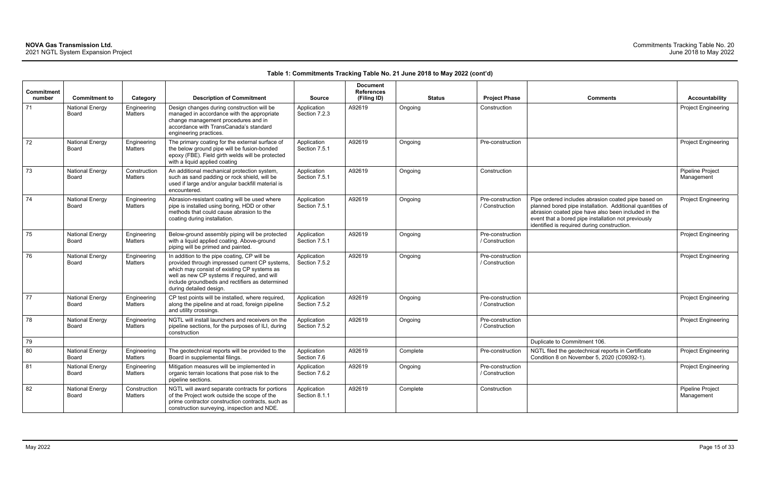| <b>Commitment</b><br>number | <b>Commitment to</b>                   | Category                | <b>Description of Commitment</b>                                                                                                                                                                                                                                           | <b>Source</b>                | <b>Document</b><br><b>References</b><br>(Filing ID) | <b>Status</b> | <b>Project Phase</b>               | <b>Comments</b>                                                                                                                                                                                                                                                               | <b>Accountability</b>          |
|-----------------------------|----------------------------------------|-------------------------|----------------------------------------------------------------------------------------------------------------------------------------------------------------------------------------------------------------------------------------------------------------------------|------------------------------|-----------------------------------------------------|---------------|------------------------------------|-------------------------------------------------------------------------------------------------------------------------------------------------------------------------------------------------------------------------------------------------------------------------------|--------------------------------|
| 71                          | <b>National Energy</b><br>Board        | Engineering<br>Matters  | Design changes during construction will be<br>managed in accordance with the appropriate<br>change management procedures and in<br>accordance with TransCanada's standard<br>engineering practices.                                                                        | Application<br>Section 7.2.3 | A92619                                              | Ongoing       | Construction                       |                                                                                                                                                                                                                                                                               | <b>Project Engineering</b>     |
| 72                          | <b>National Energy</b><br>Board        | Engineering<br>Matters  | The primary coating for the external surface of<br>the below ground pipe will be fusion-bonded<br>epoxy (FBE). Field girth welds will be protected<br>with a liquid applied coating                                                                                        | Application<br>Section 7.5.1 | A92619                                              | Ongoing       | Pre-construction                   |                                                                                                                                                                                                                                                                               | <b>Project Engineering</b>     |
| 73                          | <b>National Energy</b><br>Board        | Construction<br>Matters | An additional mechanical protection system,<br>such as sand padding or rock shield, will be<br>used if large and/or angular backfill material is<br>encountered.                                                                                                           | Application<br>Section 7.5.1 | A92619                                              | Ongoing       | Construction                       |                                                                                                                                                                                                                                                                               | Pipeline Project<br>Management |
| 74                          | <b>National Energy</b><br>Board        | Engineering<br>Matters  | Abrasion-resistant coating will be used where<br>pipe is installed using boring, HDD or other<br>methods that could cause abrasion to the<br>coating during installation.                                                                                                  | Application<br>Section 7.5.1 | A92619                                              | Ongoing       | Pre-construction<br>/ Construction | Pipe ordered includes abrasion coated pipe based on<br>planned bored pipe installation. Additional quantities of<br>abrasion coated pipe have also been included in the<br>event that a bored pipe installation not previously<br>identified is required during construction. | <b>Project Engineering</b>     |
| 75                          | <b>National Energy</b><br>Board        | Engineering<br>Matters  | Below-ground assembly piping will be protected<br>with a liquid applied coating. Above-ground<br>piping will be primed and painted.                                                                                                                                        | Application<br>Section 7.5.1 | A92619                                              | Ongoing       | Pre-construction<br>/ Construction |                                                                                                                                                                                                                                                                               | <b>Project Engineering</b>     |
| 76                          | <b>National Energy</b><br>Board        | Engineering<br>Matters  | In addition to the pipe coating, CP will be<br>provided through impressed current CP systems,<br>which may consist of existing CP systems as<br>well as new CP systems if required, and will<br>include groundbeds and rectifiers as determined<br>during detailed design. | Application<br>Section 7.5.2 | A92619                                              | Ongoing       | Pre-construction<br>/ Construction |                                                                                                                                                                                                                                                                               | <b>Project Engineering</b>     |
| 77                          | <b>National Energy</b><br><b>Board</b> | Engineering<br>Matters  | CP test points will be installed, where required,<br>along the pipeline and at road, foreign pipeline<br>and utility crossings.                                                                                                                                            | Application<br>Section 7.5.2 | A92619                                              | Ongoing       | Pre-construction<br>/ Construction |                                                                                                                                                                                                                                                                               | <b>Project Engineering</b>     |
| 78                          | <b>National Energy</b><br>Board        | Engineering<br>Matters  | NGTL will install launchers and receivers on the<br>pipeline sections, for the purposes of ILI, during<br>construction                                                                                                                                                     | Application<br>Section 7.5.2 | A92619                                              | Ongoing       | Pre-construction<br>/ Construction |                                                                                                                                                                                                                                                                               | <b>Project Engineering</b>     |
| 79                          |                                        |                         |                                                                                                                                                                                                                                                                            |                              |                                                     |               |                                    | Duplicate to Commitment 106.                                                                                                                                                                                                                                                  |                                |
| 80                          | <b>National Energy</b><br>Board        | Engineering<br>Matters  | The geotechnical reports will be provided to the<br>Board in supplemental filings.                                                                                                                                                                                         | Application<br>Section 7.6   | A92619                                              | Complete      | Pre-construction                   | NGTL filed the geotechnical reports in Certificate<br>Condition 8 on November 5, 2020 (C09392-1).                                                                                                                                                                             | <b>Project Engineering</b>     |
| 81                          | <b>National Energy</b><br>Board        | Engineering<br>Matters  | Mitigation measures will be implemented in<br>organic terrain locations that pose risk to the<br>pipeline sections.                                                                                                                                                        | Application<br>Section 7.6.2 | A92619                                              | Ongoing       | Pre-construction<br>/ Construction |                                                                                                                                                                                                                                                                               | <b>Project Engineering</b>     |
| 82                          | <b>National Energy</b><br>Board        | Construction<br>Matters | NGTL will award separate contracts for portions<br>of the Project work outside the scope of the<br>prime contractor construction contracts, such as<br>construction surveying, inspection and NDE.                                                                         | Application<br>Section 8.1.1 | A92619                                              | Complete      | Construction                       |                                                                                                                                                                                                                                                                               | Pipeline Project<br>Management |

| <b>Comments</b>                                                                                                                                                                                                                                                               | <b>Accountability</b>          |
|-------------------------------------------------------------------------------------------------------------------------------------------------------------------------------------------------------------------------------------------------------------------------------|--------------------------------|
|                                                                                                                                                                                                                                                                               | Project Engineering            |
|                                                                                                                                                                                                                                                                               |                                |
|                                                                                                                                                                                                                                                                               |                                |
|                                                                                                                                                                                                                                                                               | <b>Project Engineering</b>     |
|                                                                                                                                                                                                                                                                               |                                |
|                                                                                                                                                                                                                                                                               | Pipeline Project<br>Management |
| Pipe ordered includes abrasion coated pipe based on<br>planned bored pipe installation. Additional quantities of<br>abrasion coated pipe have also been included in the<br>event that a bored pipe installation not previously<br>identified is required during construction. | <b>Project Engineering</b>     |
|                                                                                                                                                                                                                                                                               | <b>Project Engineering</b>     |
|                                                                                                                                                                                                                                                                               | Project Engineering            |
|                                                                                                                                                                                                                                                                               | <b>Project Engineering</b>     |
|                                                                                                                                                                                                                                                                               | Project Engineering            |
| Duplicate to Commitment 106.                                                                                                                                                                                                                                                  |                                |
| NGTL filed the geotechnical reports in Certificate<br>Condition 8 on November 5, 2020 (C09392-1).                                                                                                                                                                             | <b>Project Engineering</b>     |
|                                                                                                                                                                                                                                                                               | Project Engineering            |
|                                                                                                                                                                                                                                                                               | Pipeline Project<br>Management |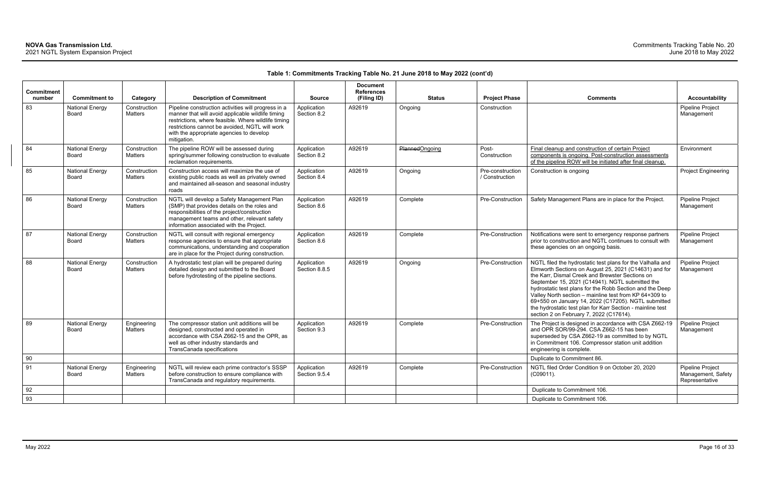|                             |                                 |                                |                                                                                                                                                                                                                                                                              |                              | <b>Document</b>                  |                |                                    |                                                                                                                                                                                                                                                                                                                                                                                                                                                                                                                 |                                                          |
|-----------------------------|---------------------------------|--------------------------------|------------------------------------------------------------------------------------------------------------------------------------------------------------------------------------------------------------------------------------------------------------------------------|------------------------------|----------------------------------|----------------|------------------------------------|-----------------------------------------------------------------------------------------------------------------------------------------------------------------------------------------------------------------------------------------------------------------------------------------------------------------------------------------------------------------------------------------------------------------------------------------------------------------------------------------------------------------|----------------------------------------------------------|
| <b>Commitment</b><br>number | <b>Commitment to</b>            | Category                       | <b>Description of Commitment</b>                                                                                                                                                                                                                                             | <b>Source</b>                | <b>References</b><br>(Filing ID) | <b>Status</b>  | <b>Project Phase</b>               | <b>Comments</b>                                                                                                                                                                                                                                                                                                                                                                                                                                                                                                 | <b>Accountability</b>                                    |
| 83                          | <b>National Energy</b><br>Board | Construction<br>Matters        | Pipeline construction activities will progress in a<br>manner that will avoid applicable wildlife timing<br>restrictions, where feasible. Where wildlife timing<br>restrictions cannot be avoided, NGTL will work<br>with the appropriate agencies to develop<br>mitigation. | Application<br>Section 8.2   | A92619                           | Ongoing        | Construction                       |                                                                                                                                                                                                                                                                                                                                                                                                                                                                                                                 | Pipeline Project<br>Management                           |
| 84                          | <b>National Energy</b><br>Board | Construction<br>Matters        | The pipeline ROW will be assessed during<br>spring/summer following construction to evaluate<br>reclamation requirements.                                                                                                                                                    | Application<br>Section 8.2   | A92619                           | PlannedOngoing | Post-<br>Construction              | Final cleanup and construction of certain Project<br>components is ongoing. Post-construction assessments<br>of the pipeline ROW will be initiated after final cleanup.                                                                                                                                                                                                                                                                                                                                         | Environment                                              |
| 85                          | <b>National Energy</b><br>Board | Construction<br>Matters        | Construction access will maximize the use of<br>existing public roads as well as privately owned<br>and maintained all-season and seasonal industry<br>roads                                                                                                                 | Application<br>Section 8.4   | A92619                           | Ongoing        | Pre-construction<br>/ Construction | Construction is ongoing                                                                                                                                                                                                                                                                                                                                                                                                                                                                                         | <b>Project Engineering</b>                               |
| 86                          | <b>National Energy</b><br>Board | Construction<br><b>Matters</b> | NGTL will develop a Safety Management Plan<br>(SMP) that provides details on the roles and<br>responsibilities of the project/construction<br>management teams and other, relevant safety<br>information associated with the Project.                                        | Application<br>Section 8.6   | A92619                           | Complete       | Pre-Construction                   | Safety Management Plans are in place for the Project.                                                                                                                                                                                                                                                                                                                                                                                                                                                           | Pipeline Project<br>Management                           |
| 87                          | <b>National Energy</b><br>Board | Construction<br><b>Matters</b> | NGTL will consult with regional emergency<br>response agencies to ensure that appropriate<br>communications, understanding and cooperation<br>are in place for the Project during construction.                                                                              | Application<br>Section 8.6   | A92619                           | Complete       | Pre-Construction                   | Notifications were sent to emergency response partners<br>prior to construction and NGTL continues to consult with<br>these agencies on an ongoing basis.                                                                                                                                                                                                                                                                                                                                                       | Pipeline Project<br>Management                           |
| 88                          | <b>National Energy</b><br>Board | Construction<br>Matters        | A hydrostatic test plan will be prepared during<br>detailed design and submitted to the Board<br>before hydrotesting of the pipeline sections.                                                                                                                               | Application<br>Section 8.8.5 | A92619                           | Ongoing        | Pre-Construction                   | NGTL filed the hydrostatic test plans for the Valhalla and<br>Elmworth Sections on August 25, 2021 (C14631) and for<br>the Karr, Dismal Creek and Brewster Sections on<br>September 15, 2021 (C14941). NGTL submitted the<br>hydrostatic test plans for the Robb Section and the Deep<br>Valley North section - mainline test from KP 64+309 to<br>69+550 on January 14, 2022 (C17205). NGTL submitted<br>the hydrostatic test plan for Karr Section - mainline test<br>section 2 on February 7, 2022 (C17614). | Pipeline Project<br>Management                           |
| 89                          | <b>National Energy</b><br>Board | Engineering<br>Matters         | The compressor station unit additions will be<br>designed, constructed and operated in<br>accordance with CSA Z662-15 and the OPR, as<br>well as other industry standards and<br>TransCanada specifications                                                                  | Application<br>Section 9.3   | A92619                           | Complete       | Pre-Construction                   | The Project is designed in accordance with CSA Z662-19<br>and OPR SOR/99-294. CSA Z662-15 has been<br>superseded by CSA Z662-19 as committed to by NGTL<br>in Commitment 106. Compressor station unit addition<br>engineering is complete.                                                                                                                                                                                                                                                                      | Pipeline Project<br>Management                           |
| 90                          |                                 |                                |                                                                                                                                                                                                                                                                              |                              |                                  |                |                                    | Duplicate to Commitment 86.                                                                                                                                                                                                                                                                                                                                                                                                                                                                                     |                                                          |
| 91                          | <b>National Energy</b><br>Board | Engineering<br>Matters         | NGTL will review each prime contractor's SSSP<br>before construction to ensure compliance with<br>TransCanada and regulatory requirements.                                                                                                                                   | Application<br>Section 9.5.4 | A92619                           | Complete       | Pre-Construction                   | NGTL filed Order Condition 9 on October 20, 2020<br>(C09011).                                                                                                                                                                                                                                                                                                                                                                                                                                                   | Pipeline Project<br>Management, Safety<br>Representative |
| 92                          |                                 |                                |                                                                                                                                                                                                                                                                              |                              |                                  |                |                                    | Duplicate to Commitment 106.                                                                                                                                                                                                                                                                                                                                                                                                                                                                                    |                                                          |
| 93                          |                                 |                                |                                                                                                                                                                                                                                                                              |                              |                                  |                |                                    | Duplicate to Commitment 106.                                                                                                                                                                                                                                                                                                                                                                                                                                                                                    |                                                          |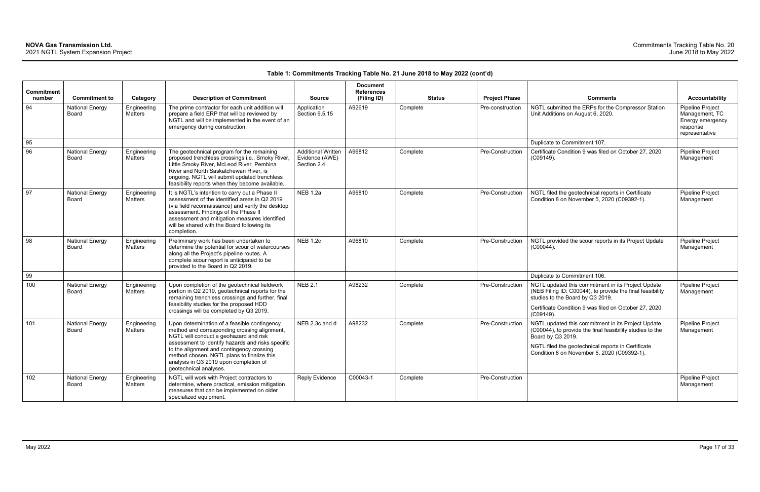| <b>Commitment</b><br>number | <b>Commitment to</b>            | Category                      | <b>Description of Commitment</b>                                                                                                                                                                                                                                                                                                                           | <b>Source</b>                                              | <b>Document</b><br><b>References</b><br>(Filing ID) | <b>Status</b> | <b>Project Phase</b> | <b>Comments</b>                                                                                                                                                                                                                           | Accountability                                                                              |
|-----------------------------|---------------------------------|-------------------------------|------------------------------------------------------------------------------------------------------------------------------------------------------------------------------------------------------------------------------------------------------------------------------------------------------------------------------------------------------------|------------------------------------------------------------|-----------------------------------------------------|---------------|----------------------|-------------------------------------------------------------------------------------------------------------------------------------------------------------------------------------------------------------------------------------------|---------------------------------------------------------------------------------------------|
| 94                          | <b>National Energy</b><br>Board | Engineering<br>Matters        | The prime contractor for each unit addition will<br>prepare a field ERP that will be reviewed by<br>NGTL and will be implemented in the event of an<br>emergency during construction.                                                                                                                                                                      | Application<br>Section 9.5.15                              | A92619                                              | Complete      | Pre-construction     | NGTL submitted the ERPs for the Compressor Station<br>Unit Additions on August 6, 2020.                                                                                                                                                   | <b>Pipeline Project</b><br>Management, TC<br>Energy emergency<br>response<br>representative |
| 95                          |                                 |                               |                                                                                                                                                                                                                                                                                                                                                            |                                                            |                                                     |               |                      | Duplicate to Commitment 107.                                                                                                                                                                                                              |                                                                                             |
| 96                          | <b>National Energy</b><br>Board | Engineering<br>Matters        | The geotechnical program for the remaining<br>proposed trenchless crossings i.e., Smoky River,<br>Little Smoky River, McLeod River, Pembina<br>River and North Saskatchewan River, is<br>ongoing. NGTL will submit updated trenchless<br>feasibility reports when they become available.                                                                   | <b>Additional Written</b><br>Evidence (AWE)<br>Section 2.4 | A96812                                              | Complete      | Pre-Construction     | Certificate Condition 9 was filed on October 27, 2020<br>$(C09149)$ .                                                                                                                                                                     | <b>Pipeline Project</b><br>Management                                                       |
| 97                          | <b>National Energy</b><br>Board | Engineering<br>Matters        | It is NGTL's intention to carry out a Phase II<br>assessment of the identified areas in Q2 2019<br>(via field reconnaissance) and verify the desktop<br>assessment. Findings of the Phase II<br>assessment and mitigation measures identified<br>will be shared with the Board following its<br>completion.                                                | <b>NEB 1.2a</b>                                            | A96810                                              | Complete      | Pre-Construction     | NGTL filed the geotechnical reports in Certificate<br>Condition 8 on November 5, 2020 (C09392-1).                                                                                                                                         | <b>Pipeline Project</b><br>Management                                                       |
| 98                          | <b>National Energy</b><br>Board | Engineering<br>Matters        | Preliminary work has been undertaken to<br>determine the potential for scour of watercourses<br>along all the Project's pipeline routes. A<br>complete scour report is anticipated to be<br>provided to the Board in Q2 2019.                                                                                                                              | <b>NEB 1.2c</b>                                            | A96810                                              | Complete      | Pre-Construction     | NGTL provided the scour reports in its Project Update<br>$(C00044)$ .                                                                                                                                                                     | <b>Pipeline Project</b><br>Management                                                       |
| 99                          |                                 |                               |                                                                                                                                                                                                                                                                                                                                                            |                                                            |                                                     |               |                      | Duplicate to Commitment 106.                                                                                                                                                                                                              |                                                                                             |
| 100                         | <b>National Energy</b><br>Board | Engineering<br>Matters        | Upon completion of the geotechnical fieldwork<br>portion in Q2 2019, geotechnical reports for the<br>remaining trenchless crossings and further, final<br>feasibility studies for the proposed HDD<br>crossings will be completed by Q3 2019.                                                                                                              | <b>NEB 2.1</b>                                             | A98232                                              | Complete      | Pre-Construction     | NGTL updated this commitment in its Project Update<br>(NEB Filing ID: C00044), to provide the final feasibility<br>studies to the Board by Q3 2019.<br>Certificate Condition 9 was filed on October 27, 2020<br>$(C09149)$ .              | Pipeline Project<br>Management                                                              |
| 101                         | <b>National Energy</b><br>Board | Engineering<br><b>Matters</b> | Upon determination of a feasible contingency<br>method and corresponding crossing alignment,<br>NGTL will conduct a geohazard and risk<br>assessment to identify hazards and risks specific<br>to the alignment and contingency crossing<br>method chosen. NGTL plans to finalize this<br>analysis in Q3 2019 upon completion of<br>geotechnical analyses. | NEB 2.3c and d                                             | A98232                                              | Complete      | Pre-Construction     | NGTL updated this commitment in its Project Update<br>(C00044), to provide the final feasibility studies to the<br>Board by Q3 2019.<br>NGTL filed the geotechnical reports in Certificate<br>Condition 8 on November 5, 2020 (C09392-1). | <b>Pipeline Project</b><br>Management                                                       |
| 102                         | <b>National Energy</b><br>Board | Engineering<br>Matters        | NGTL will work with Project contractors to<br>determine, where practical, emission mitigation<br>measures that can be implemented on older<br>specialized equipment.                                                                                                                                                                                       | <b>Reply Evidence</b>                                      | C00043-1                                            | Complete      | Pre-Construction     |                                                                                                                                                                                                                                           | Pipeline Project<br>Management                                                              |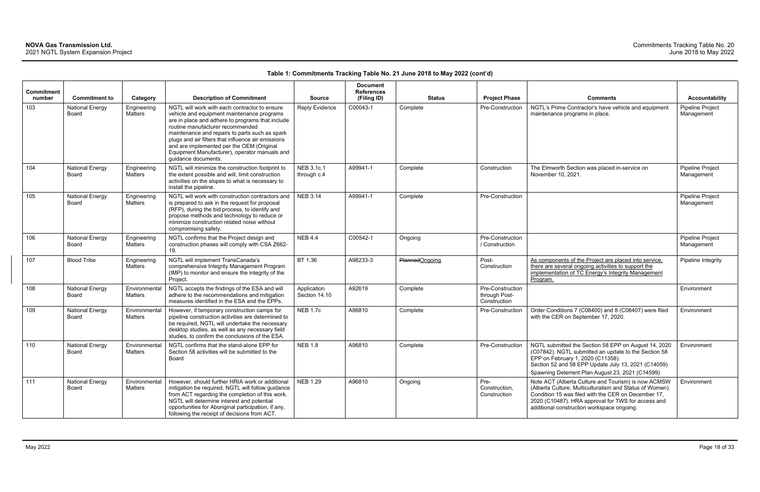|                             |                                        |                                 |                                                                                                                                                                                                                                                                                                                                                                                                                  |                              | <b>Document</b>                  |                |                                                   |                                                                                                                                                                                                                                                                            |                                |
|-----------------------------|----------------------------------------|---------------------------------|------------------------------------------------------------------------------------------------------------------------------------------------------------------------------------------------------------------------------------------------------------------------------------------------------------------------------------------------------------------------------------------------------------------|------------------------------|----------------------------------|----------------|---------------------------------------------------|----------------------------------------------------------------------------------------------------------------------------------------------------------------------------------------------------------------------------------------------------------------------------|--------------------------------|
| <b>Commitment</b><br>number | <b>Commitment to</b>                   | Category                        | <b>Description of Commitment</b>                                                                                                                                                                                                                                                                                                                                                                                 | <b>Source</b>                | <b>References</b><br>(Filing ID) | <b>Status</b>  | <b>Project Phase</b>                              | <b>Comments</b>                                                                                                                                                                                                                                                            | <b>Accountability</b>          |
| 103                         | <b>National Energy</b><br>Board        | Engineering<br>Matters          | NGTL will work with each contractor to ensure<br>vehicle and equipment maintenance programs<br>are in place and adhere to programs that include<br>routine manufacturer recommended<br>maintenance and repairs to parts such as spark<br>plugs and air filters that influence air emissions<br>and are implemented per the OEM (Original<br>Equipment Manufacturer), operator manuals and<br>guidance documents. | <b>Reply Evidence</b>        | C00043-1                         | Complete       | Pre-Construction                                  | NGTL's Prime Contractor's have vehicle and equipment<br>maintenance programs in place.                                                                                                                                                                                     | Pipeline Project<br>Management |
| 104                         | <b>National Energy</b><br>Board        | Engineering<br>Matters          | NGTL will minimize the construction footprint to<br>the extent possible and will, limit construction<br>activities on the slopes to what is necessary to<br>install the pipeline.                                                                                                                                                                                                                                | NEB 3.1c.1<br>through c.4    | A99941-1                         | Complete       | Construction                                      | The Elmworth Section was placed in-service on<br>November 10, 2021.                                                                                                                                                                                                        | Pipeline Project<br>Management |
| 105                         | <b>National Energy</b><br><b>Board</b> | Engineering<br>Matters          | NGTL will work with construction contractors and<br>is prepared to ask in the request for proposal<br>(RFP), during the bid process, to identify and<br>propose methods and technology to reduce or<br>minimize construction related noise without<br>compromising safety.                                                                                                                                       | <b>NEB 3.14</b>              | A99941-1                         | Complete       | Pre-Construction                                  |                                                                                                                                                                                                                                                                            | Pipeline Project<br>Management |
| 106                         | <b>National Energy</b><br><b>Board</b> | Engineering<br><b>Matters</b>   | NGTL confirms that the Project design and<br>construction phases will comply with CSA Z662-<br>19.                                                                                                                                                                                                                                                                                                               | <b>NEB 4.4</b>               | C00542-1                         | Ongoing        | Pre-Construction<br>/ Construction                |                                                                                                                                                                                                                                                                            | Pipeline Project<br>Management |
| 107                         | <b>Blood Tribe</b>                     | Engineering<br><b>Matters</b>   | NGTL will implement TransCanada's<br>comprehensive Integrity Management Program<br>(IMP) to monitor and ensure the integrity of the<br>Project.                                                                                                                                                                                                                                                                  | BT 1.36                      | A98233-3                         | PlannedOngoing | Post-<br>Construction                             | As components of the Project are placed into service,<br>there are several ongoing activities to support the<br>implementation of TC Energy's Integrity Management<br>Program.                                                                                             | Pipeline Integrity             |
| 108                         | <b>National Energy</b><br><b>Board</b> | Environmental<br>Matters        | NGTL accepts the findings of the ESA and will<br>adhere to the recommendations and mitigation<br>measures identified in the ESA and the EPPs.                                                                                                                                                                                                                                                                    | Application<br>Section 14.10 | A92619                           | Complete       | Pre-Construction<br>through Post-<br>Construction |                                                                                                                                                                                                                                                                            | Environment                    |
| 109                         | <b>National Energy</b><br><b>Board</b> | Environmental<br><b>Matters</b> | However, if temporary construction camps for<br>pipeline construction activities are determined to<br>be required, NGTL will undertake the necessary<br>desktop studies, as well as any necessary field<br>studies, to confirm the conclusions of the ESA.                                                                                                                                                       | <b>NEB 1.7c</b>              | A96810                           | Complete       | Pre-Construction                                  | Order Conditions 7 (C08400) and 8 (C08407) were filed<br>with the CER on September 17, 2020.                                                                                                                                                                               | Environment                    |
| 110                         | <b>National Energy</b><br>Board        | Environmental<br>Matters        | NGTL confirms that the stand-alone EPP for<br>Section 58 activities will be submitted to the<br>Board                                                                                                                                                                                                                                                                                                            | <b>NEB 1.8</b>               | A96810                           | Complete       | Pre-Construction                                  | NGTL submitted the Section 58 EPP on August 14, 2020<br>(C07842). NGTL submitted an update to the Section 58<br>EPP on February 1, 2020 (C11358).<br>Section 52 and 58 EPP Update July 13, 2021 (C14059)<br>Spawning Deterrent Plan August 23, 2021 (C14599)               | Environment                    |
| 111                         | <b>National Energy</b><br>Board        | Environmental<br>Matters        | However, should further HRIA work or additional<br>mitigation be required, NGTL will follow guidance<br>from ACT regarding the completion of this work.<br>NGTL will determine interest and potential<br>opportunities for Aboriginal participation, if any,<br>following the receipt of decisions from ACT.                                                                                                     | <b>NEB 1.29</b>              | A96810                           | Ongoing        | Pre-<br>Construction,<br>Construction             | Note ACT (Alberta Culture and Tourism) is now ACMSW<br>(Alberta Culture, Multiculturalism and Status of Women).<br>Condition 15 was filed with the CER on December 17,<br>2020 (C10487). HRA approval for TWS for access and<br>additional construction workspace ongoing. | Environment                    |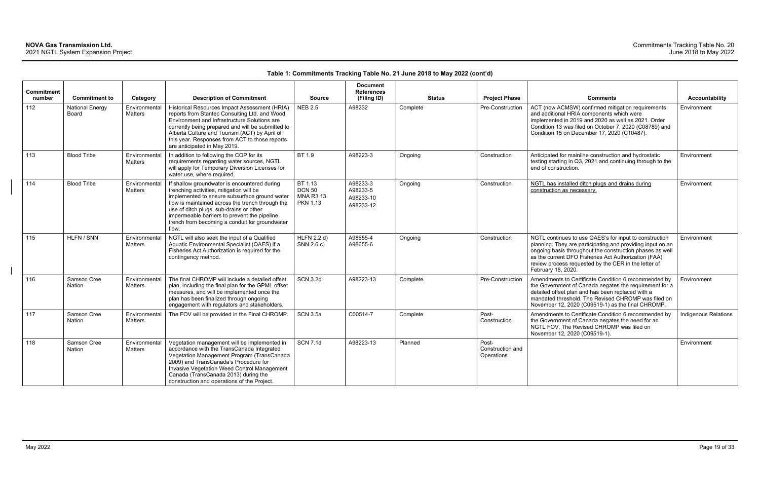| <b>Commitment</b><br>number | <b>Commitment to</b>            | Category                        | <b>Description of Commitment</b>                                                                                                                                                                                                                                                                                                                    | <b>Source</b>                                                   | <b>Document</b><br><b>References</b><br>(Filing ID) | <b>Status</b> | <b>Project Phase</b>                    | <b>Comments</b>                                                                                                                                                                                                                                                                                                        | Accountability       |
|-----------------------------|---------------------------------|---------------------------------|-----------------------------------------------------------------------------------------------------------------------------------------------------------------------------------------------------------------------------------------------------------------------------------------------------------------------------------------------------|-----------------------------------------------------------------|-----------------------------------------------------|---------------|-----------------------------------------|------------------------------------------------------------------------------------------------------------------------------------------------------------------------------------------------------------------------------------------------------------------------------------------------------------------------|----------------------|
| 112                         | <b>National Energy</b><br>Board | Environmental<br>Matters        | Historical Resources Impact Assessment (HRIA)<br>reports from Stantec Consulting Ltd. and Wood<br>Environment and Infrastructure Solutions are<br>currently being prepared and will be submitted to<br>Alberta Culture and Tourism (ACT) by April of<br>this year. Responses from ACT to those reports<br>are anticipated in May 2019.              | <b>NEB 2.5</b>                                                  | A98232                                              | Complete      | Pre-Construction                        | ACT (now ACMSW) confirmed mitigation requirements<br>and additional HRIA components which were<br>implemented in 2019 and 2020 as well as 2021. Order<br>Condition 13 was filed on October 7, 2020 (C08789) and<br>Condition 15 on December 17, 2020 (C10487).                                                         | Environment          |
| 113                         | <b>Blood Tribe</b>              | Environmental<br><b>Matters</b> | In addition to following the COP for its<br>requirements regarding water sources, NGTL<br>will apply for Temporary Diversion Licenses for<br>water use, where required.                                                                                                                                                                             | BT 1.9                                                          | A98223-3                                            | Ongoing       | Construction                            | Anticipated for mainline construction and hydrostatic<br>testing starting in Q3, 2021 and continuing through to the<br>end of construction.                                                                                                                                                                            | Environment          |
| 114                         | <b>Blood Tribe</b>              | Environmental<br><b>Matters</b> | If shallow groundwater is encountered during<br>trenching activities, mitigation will be<br>implemented to ensure subsurface ground water<br>flow is maintained across the trench through the<br>use of ditch plugs, sub-drains or other<br>impermeable barriers to prevent the pipeline<br>trench from becoming a conduit for groundwater<br>flow. | BT 1.13<br><b>DCN 50</b><br><b>MNA R3 13</b><br><b>PKN 1.13</b> | A98233-3<br>A98233-5<br>A98233-10<br>A98233-12      | Ongoing       | Construction                            | NGTL has installed ditch plugs and drains during<br>construction as necessary.                                                                                                                                                                                                                                         | Environment          |
| 115                         | HLFN / SNN                      | Environmental<br><b>Matters</b> | NGTL will also seek the input of a Qualified<br>Aquatic Environmental Specialist (QAES) if a<br>Fisheries Act Authorization is required for the<br>contingency method.                                                                                                                                                                              | <b>HLFN 2.2 d)</b><br>SNN 2.6 c)                                | A98655-4<br>A98655-6                                | Ongoing       | Construction                            | NGTL continues to use QAES's for input to construction<br>planning. They are participating and providing input on an<br>ongoing basis throughout the construction phases as well<br>as the current DFO Fisheries Act Authorization (FAA)<br>review process requested by the CER in the letter of<br>February 18, 2020. | Environment          |
| 116                         | Samson Cree<br><b>Nation</b>    | Environmental<br><b>Matters</b> | The final CHROMP will include a detailed offset<br>plan, including the final plan for the GPML offset<br>measures, and will be implemented once the<br>plan has been finalized through ongoing<br>engagement with regulators and stakeholders.                                                                                                      | <b>SCN 3.2d</b>                                                 | A98223-13                                           | Complete      | Pre-Construction                        | Amendments to Certificate Condition 6 recommended by<br>the Government of Canada negates the requirement for a<br>detailed offset plan and has been replaced with a<br>mandated threshold. The Revised CHROMP was filed on<br>November 12, 2020 (C09519-1) as the final CHROMP.                                        | Environment          |
| 117                         | Samson Cree<br><b>Nation</b>    | Environmental<br><b>Matters</b> | The FOV will be provided in the Final CHROMP.                                                                                                                                                                                                                                                                                                       | <b>SCN 3.5a</b>                                                 | C00514-7                                            | Complete      | Post-<br>Construction                   | Amendments to Certificate Condition 6 recommended by<br>the Government of Canada negates the need for an<br>NGTL FOV. The Revised CHROMP was filed on<br>November 12, 2020 (C09519-1).                                                                                                                                 | Indigenous Relations |
| 118                         | Samson Cree<br>Nation           | Environmental<br>Matters        | Vegetation management will be implemented in<br>accordance with the TransCanada Integrated<br>Vegetation Management Program (TransCanada<br>2009) and TransCanada's Procedure for<br>Invasive Vegetation Weed Control Management<br>Canada (TransCanada 2013) during the<br>construction and operations of the Project.                             | <b>SCN 7.1d</b>                                                 | A98223-13                                           | Planned       | Post-<br>Construction and<br>Operations |                                                                                                                                                                                                                                                                                                                        | Environment          |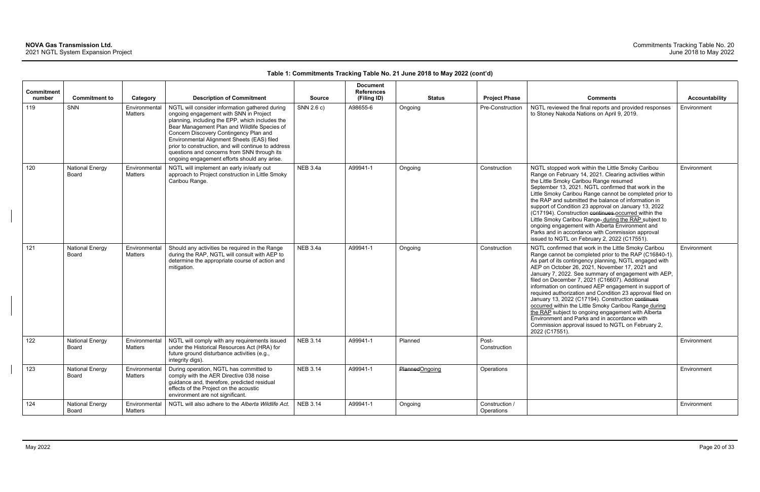|                      |                                        |                                      |                                                                                                                                                                                                                                                                                                                                                                                                                                           |                 | <b>Document</b>                  |                       |                              |                                                                                                                                                                                                                                                                                                                                                                                                                                                                                                                                                                                                                                                                                                                                                       |                       |
|----------------------|----------------------------------------|--------------------------------------|-------------------------------------------------------------------------------------------------------------------------------------------------------------------------------------------------------------------------------------------------------------------------------------------------------------------------------------------------------------------------------------------------------------------------------------------|-----------------|----------------------------------|-----------------------|------------------------------|-------------------------------------------------------------------------------------------------------------------------------------------------------------------------------------------------------------------------------------------------------------------------------------------------------------------------------------------------------------------------------------------------------------------------------------------------------------------------------------------------------------------------------------------------------------------------------------------------------------------------------------------------------------------------------------------------------------------------------------------------------|-----------------------|
| Commitment<br>number | <b>Commitment to</b>                   |                                      | <b>Description of Commitment</b>                                                                                                                                                                                                                                                                                                                                                                                                          | <b>Source</b>   | <b>References</b><br>(Filing ID) | <b>Status</b>         | <b>Project Phase</b>         | <b>Comments</b>                                                                                                                                                                                                                                                                                                                                                                                                                                                                                                                                                                                                                                                                                                                                       | <b>Accountability</b> |
| 119                  | SNN                                    | Category<br>Environmental<br>Matters | NGTL will consider information gathered during<br>ongoing engagement with SNN in Project<br>planning, including the EPP, which includes the<br>Bear Management Plan and Wildlife Species of<br>Concern Discovery Contingency Plan and<br>Environmental Alignment Sheets (EAS) filed<br>prior to construction, and will continue to address<br>questions and concerns from SNN through its<br>ongoing engagement efforts should any arise. | SNN 2.6 c)      | A98655-6                         | Ongoing               | Pre-Construction             | NGTL reviewed the final reports and provided responses<br>to Stoney Nakoda Nations on April 9, 2019.                                                                                                                                                                                                                                                                                                                                                                                                                                                                                                                                                                                                                                                  | Environment           |
| 120                  | <b>National Energy</b><br><b>Board</b> | Environmental<br>Matters             | NGTL will implement an early in/early out<br>approach to Project construction in Little Smoky<br>Caribou Range.                                                                                                                                                                                                                                                                                                                           | <b>NEB 3.4a</b> | A99941-1                         | Ongoing               | Construction                 | NGTL stopped work within the Little Smoky Caribou<br>Range on February 14, 2021. Clearing activities within<br>the Little Smoky Caribou Range resumed<br>September 13, 2021. NGTL confirmed that work in the<br>Little Smoky Caribou Range cannot be completed prior to<br>the RAP and submitted the balance of information in<br>support of Condition 23 approval on January 13, 2022<br>(C17194). Construction continues occurred within the<br>Little Smoky Caribou Range-during the RAP subject to<br>ongoing engagement with Alberta Environment and<br>Parks and in accordance with Commission approval<br>issued to NGTL on February 2, 2022 (C17551).                                                                                         | Environment           |
| 121                  | <b>National Energy</b><br>Board        | Environmental<br>Matters             | Should any activities be required in the Range<br>during the RAP, NGTL will consult with AEP to<br>determine the appropriate course of action and<br>mitigation.                                                                                                                                                                                                                                                                          | <b>NEB 3.4a</b> | A99941-1                         | Ongoing               | Construction                 | NGTL confirmed that work in the Little Smoky Caribou<br>Range cannot be completed prior to the RAP (C16840-1).<br>As part of its contingency planning, NGTL engaged with<br>AEP on October 26, 2021, November 17, 2021 and<br>January 7, 2022. See summary of engagement with AEP,<br>filed on December 7, 2021 (C16607). Additional<br>information on continued AEP engagement in support of<br>required authorization and Condition 23 approval filed on<br>January 13, 2022 (C17194). Construction continues<br>occurred within the Little Smoky Caribou Range during<br>the RAP subject to ongoing engagement with Alberta<br>Environment and Parks and in accordance with<br>Commission approval issued to NGTL on February 2,<br>2022 (C17551). | Environment           |
| 122                  | <b>National Energy</b><br><b>Board</b> | Environmental<br><b>Matters</b>      | NGTL will comply with any requirements issued<br>under the Historical Resources Act (HRA) for<br>future ground disturbance activities (e.g.,<br>integrity digs).                                                                                                                                                                                                                                                                          | <b>NEB 3.14</b> | A99941-1                         | Planned               | Post-<br>Construction        |                                                                                                                                                                                                                                                                                                                                                                                                                                                                                                                                                                                                                                                                                                                                                       | Environment           |
| 123                  | <b>National Energy</b><br>Board        | Environmental<br>Matters             | During operation, NGTL has committed to<br>comply with the AER Directive 038 noise<br>guidance and, therefore, predicted residual<br>effects of the Project on the acoustic<br>environment are not significant.                                                                                                                                                                                                                           | <b>NEB 3.14</b> | A99941-1                         | <b>PlannedOngoing</b> | Operations                   |                                                                                                                                                                                                                                                                                                                                                                                                                                                                                                                                                                                                                                                                                                                                                       | Environment           |
| 124                  | <b>National Energy</b><br>Board        | Environmental<br>Matters             | NGTL will also adhere to the Alberta Wildlife Act.                                                                                                                                                                                                                                                                                                                                                                                        | <b>NEB 3.14</b> | A99941-1                         | Ongoing               | Construction /<br>Operations |                                                                                                                                                                                                                                                                                                                                                                                                                                                                                                                                                                                                                                                                                                                                                       | Environment           |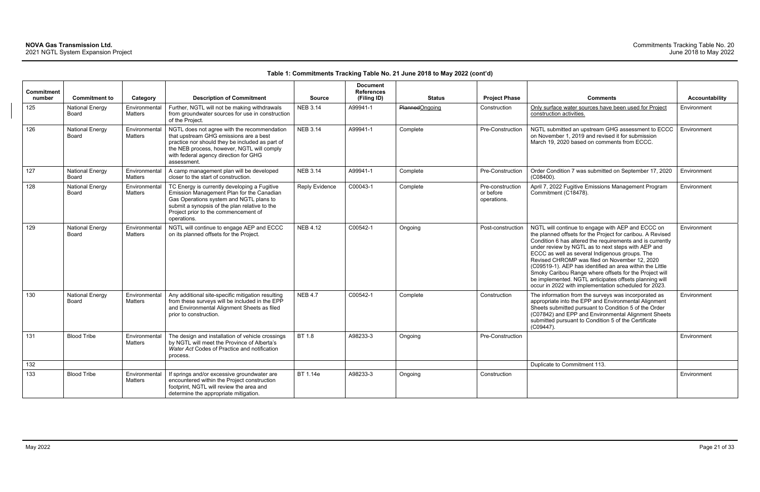|                             |                                 |                                 |                                                                                                                                                                                                                                                |                       | <b>Document</b>                  |                       |                                              |                                                                                                                                                                                                                                                                                                                                                                                                                                                                                                                                                                                |                       |
|-----------------------------|---------------------------------|---------------------------------|------------------------------------------------------------------------------------------------------------------------------------------------------------------------------------------------------------------------------------------------|-----------------------|----------------------------------|-----------------------|----------------------------------------------|--------------------------------------------------------------------------------------------------------------------------------------------------------------------------------------------------------------------------------------------------------------------------------------------------------------------------------------------------------------------------------------------------------------------------------------------------------------------------------------------------------------------------------------------------------------------------------|-----------------------|
| <b>Commitment</b><br>number | <b>Commitment to</b>            | Category                        | <b>Description of Commitment</b>                                                                                                                                                                                                               | <b>Source</b>         | <b>References</b><br>(Filing ID) | <b>Status</b>         | <b>Project Phase</b>                         | <b>Comments</b>                                                                                                                                                                                                                                                                                                                                                                                                                                                                                                                                                                | <b>Accountability</b> |
| 125                         | <b>National Energy</b><br>Board | Environmental<br>Matters        | Further, NGTL will not be making withdrawals<br>from groundwater sources for use in construction<br>of the Project.                                                                                                                            | <b>NEB 3.14</b>       | A99941-1                         | <b>PlannedOngoing</b> | Construction                                 | Only surface water sources have been used for Project<br>construction activities.                                                                                                                                                                                                                                                                                                                                                                                                                                                                                              | Environment           |
| 126                         | <b>National Energy</b><br>Board | Environmental<br><b>Matters</b> | NGTL does not agree with the recommendation<br>that upstream GHG emissions are a best<br>practice nor should they be included as part of<br>the NEB process, however, NGTL will comply<br>with federal agency direction for GHG<br>assessment. | <b>NEB 3.14</b>       | A99941-1                         | Complete              | Pre-Construction                             | NGTL submitted an upstream GHG assessment to ECCC<br>on November 1, 2019 and revised it for submission<br>March 19, 2020 based on comments from ECCC.                                                                                                                                                                                                                                                                                                                                                                                                                          | Environment           |
| 127                         | <b>National Energy</b><br>Board | Environmental<br><b>Matters</b> | A camp management plan will be developed<br>closer to the start of construction.                                                                                                                                                               | <b>NEB 3.14</b>       | A99941-1                         | Complete              | Pre-Construction                             | Order Condition 7 was submitted on September 17, 2020<br>$(C08400)$ .                                                                                                                                                                                                                                                                                                                                                                                                                                                                                                          | Environment           |
| 128                         | <b>National Energy</b><br>Board | Environmental<br><b>Matters</b> | TC Energy is currently developing a Fugitive<br>Emission Management Plan for the Canadian<br>Gas Operations system and NGTL plans to<br>submit a synopsis of the plan relative to the<br>Project prior to the commencement of<br>operations.   | <b>Reply Evidence</b> | C00043-1                         | Complete              | Pre-construction<br>or before<br>operations. | April 7, 2022 Fugitive Emissions Management Program<br>Commitment (C18478).                                                                                                                                                                                                                                                                                                                                                                                                                                                                                                    | Environment           |
| 129                         | <b>National Energy</b><br>Board | Environmental<br>Matters        | NGTL will continue to engage AEP and ECCC<br>on its planned offsets for the Project.                                                                                                                                                           | <b>NEB 4.12</b>       | C00542-1                         | Ongoing               | Post-construction                            | NGTL will continue to engage with AEP and ECCC on<br>the planned offsets for the Project for caribou. A Revised<br>Condition 6 has altered the requirements and is currently<br>under review by NGTL as to next steps with AEP and<br>ECCC as well as several Indigenous groups. The<br>Revised CHROMP was filed on November 12, 2020<br>(C09519-1). AEP has identified an area within the Little<br>Smoky Caribou Range where offsets for the Project will<br>be implemented. NGTL anticipates offsets planning will<br>occur in 2022 with implementation scheduled for 2023. | Environment           |
| 130                         | <b>National Energy</b><br>Board | Environmental<br><b>Matters</b> | Any additional site-specific mitigation resulting<br>from these surveys will be included in the EPP<br>and Environmental Alignment Sheets as filed<br>prior to construction.                                                                   | <b>NEB 4.7</b>        | C00542-1                         | Complete              | Construction                                 | The information from the surveys was incorporated as<br>appropriate into the EPP and Environmental Alignment<br>Sheets submitted pursuant to Condition 5 of the Order<br>(C07842) and EPP and Environmental Alignment Sheets<br>submitted pursuant to Condition 5 of the Certificate<br>(C09447).                                                                                                                                                                                                                                                                              | Environment           |
| 131                         | <b>Blood Tribe</b>              | Environmental<br>Matters        | The design and installation of vehicle crossings<br>by NGTL will meet the Province of Alberta's<br>Water Act Codes of Practice and notification<br>process.                                                                                    | BT 1.8                | A98233-3                         | Ongoing               | Pre-Construction                             |                                                                                                                                                                                                                                                                                                                                                                                                                                                                                                                                                                                | Environment           |
| 132                         |                                 |                                 |                                                                                                                                                                                                                                                |                       |                                  |                       |                                              | Duplicate to Commitment 113.                                                                                                                                                                                                                                                                                                                                                                                                                                                                                                                                                   |                       |
| 133                         | <b>Blood Tribe</b>              | Environmental<br><b>Matters</b> | If springs and/or excessive groundwater are<br>encountered within the Project construction<br>footprint, NGTL will review the area and<br>determine the appropriate mitigation.                                                                | BT 1.14e              | A98233-3                         | Ongoing               | Construction                                 |                                                                                                                                                                                                                                                                                                                                                                                                                                                                                                                                                                                | Environment           |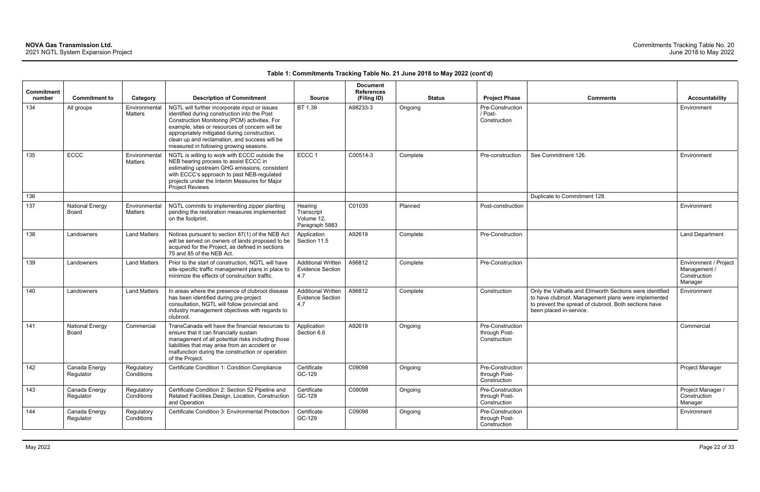| Commitment<br>number | <b>Commitment to</b>            | Category                 | <b>Description of Commitment</b>                                                                                                                                                                                                                                                                                                            | <b>Source</b>                                               | <b>Document</b><br><b>References</b><br>(Filing ID) | <b>Status</b> | <b>Project Phase</b>                              | <b>Comments</b>                                                                                                                                                                                    | <b>Accountability</b>                                            |
|----------------------|---------------------------------|--------------------------|---------------------------------------------------------------------------------------------------------------------------------------------------------------------------------------------------------------------------------------------------------------------------------------------------------------------------------------------|-------------------------------------------------------------|-----------------------------------------------------|---------------|---------------------------------------------------|----------------------------------------------------------------------------------------------------------------------------------------------------------------------------------------------------|------------------------------------------------------------------|
| 134                  | All groups                      | Environmental<br>Matters | NGTL will further incorporate input or issues<br>identified during construction into the Post<br>Construction Monitoring (PCM) activities. For<br>example, sites or resources of concern will be<br>appropriately mitigated during construction,<br>clean up and reclamation, and success will be<br>measured in following growing seasons. | BT 1.39                                                     | A98233-3                                            | Ongoing       | Pre-Construction<br>/ Post-<br>Construction       |                                                                                                                                                                                                    | Environment                                                      |
| 135                  | ECCC                            | Environmental<br>Matters | NGTL is willing to work with ECCC outside the<br>NEB hearing process to assist ECCC in<br>estimating upstream GHG emissions, consistent<br>with ECCC's approach to past NEB-regulated<br>projects under the Interim Measures for Major<br><b>Project Reviews</b>                                                                            | ECCC <sub>1</sub>                                           | C00514-3                                            | Complete      | Pre-construction                                  | See Commitment 126.                                                                                                                                                                                | Environment                                                      |
| 136                  |                                 |                          |                                                                                                                                                                                                                                                                                                                                             |                                                             |                                                     |               |                                                   | Duplicate to Commitment 128.                                                                                                                                                                       |                                                                  |
| 137                  | <b>National Energy</b><br>Board | Environmental<br>Matters | NGTL commits to implementing zipper planting<br>pending the restoration measures implemented<br>on the footprint.                                                                                                                                                                                                                           | Hearing<br>Transcript<br>Volume 12,<br>Paragraph 5883       | C01035                                              | Planned       | Post-construction                                 |                                                                                                                                                                                                    | Environment                                                      |
| 138                  | Landowners                      | <b>Land Matters</b>      | Notices pursuant to section 87(1) of the NEB Act<br>will be served on owners of lands proposed to be<br>acquired for the Project, as defined in sections<br>75 and 85 of the NEB Act.                                                                                                                                                       | Application<br>Section 11.5                                 | A92619                                              | Complete      | Pre-Construction                                  |                                                                                                                                                                                                    | <b>Land Department</b>                                           |
| 139                  | Landowners                      | <b>Land Matters</b>      | Prior to the start of construction, NGTL will have<br>site-specific traffic management plans in place to<br>minimize the effects of construction traffic.                                                                                                                                                                                   | <b>Additional Written</b><br><b>Evidence Section</b><br>4.7 | A96812                                              | Complete      | Pre-Construction                                  |                                                                                                                                                                                                    | Environment / Project<br>Management /<br>Construction<br>Manager |
| 140                  | Landowners                      | <b>Land Matters</b>      | In areas where the presence of clubroot disease<br>has been identified during pre-project<br>consultation, NGTL will follow provincial and<br>industry management objectives with regards to<br>clubroot.                                                                                                                                   | <b>Additional Written</b><br><b>Evidence Section</b><br>4.7 | A96812                                              | Complete      | Construction                                      | Only the Valhalla and Elmworth Sections were identified<br>to have clubroot. Management plans were implemented<br>to prevent the spread of clubroot. Both sections have<br>been placed in-service. | Environment                                                      |
| 141                  | <b>National Energy</b><br>Board | Commercial               | TransCanada will have the financial resources to<br>ensure that it can financially sustain<br>management of all potential risks including those<br>liabilities that may arise from an accident or<br>malfunction during the construction or operation<br>of the Project.                                                                    | Application<br>Section 6.6                                  | A92619                                              | Ongoing       | Pre-Construction<br>through Post-<br>Construction |                                                                                                                                                                                                    | Commercial                                                       |
| 142                  | Canada Energy<br>Regulator      | Regulatory<br>Conditions | Certificate Condition 1: Condition Compliance                                                                                                                                                                                                                                                                                               | Certificate<br>GC-129                                       | C09098                                              | Ongoing       | Pre-Construction<br>through Post-<br>Construction |                                                                                                                                                                                                    | Project Manager                                                  |
| 143                  | Canada Energy<br>Regulator      | Regulatory<br>Conditions | Certificate Condition 2: Section 52 Pipeline and<br>Related Facilities Design, Location, Construction<br>and Operation                                                                                                                                                                                                                      | Certificate<br>GC-129                                       | C09098                                              | Ongoing       | Pre-Construction<br>through Post-<br>Construction |                                                                                                                                                                                                    | Project Manager /<br>Construction<br>Manager                     |
| 144                  | Canada Energy<br>Regulator      | Regulatory<br>Conditions | Certificate Condition 3: Environmental Protection                                                                                                                                                                                                                                                                                           | Certificate<br>GC-129                                       | C09098                                              | Ongoing       | Pre-Construction<br>through Post-<br>Construction |                                                                                                                                                                                                    | Environment                                                      |

| Comments                                                                                                                                                                                           |                                                                  |
|----------------------------------------------------------------------------------------------------------------------------------------------------------------------------------------------------|------------------------------------------------------------------|
|                                                                                                                                                                                                    | <b>Accountability</b>                                            |
|                                                                                                                                                                                                    | Environment                                                      |
| See Commitment 126.                                                                                                                                                                                | Environment                                                      |
| Duplicate to Commitment 128.                                                                                                                                                                       |                                                                  |
|                                                                                                                                                                                                    | Environment                                                      |
|                                                                                                                                                                                                    | Land Department                                                  |
|                                                                                                                                                                                                    | Environment / Project<br>Management /<br>Construction<br>Manager |
| Only the Valhalla and Elmworth Sections were identified<br>to have clubroot. Management plans were implemented<br>to prevent the spread of clubroot. Both sections have<br>been placed in-service. | Environment                                                      |
|                                                                                                                                                                                                    | Commercial                                                       |
|                                                                                                                                                                                                    | Project Manager                                                  |
|                                                                                                                                                                                                    | Project Manager /<br>Construction<br>Manager                     |
|                                                                                                                                                                                                    | Environment                                                      |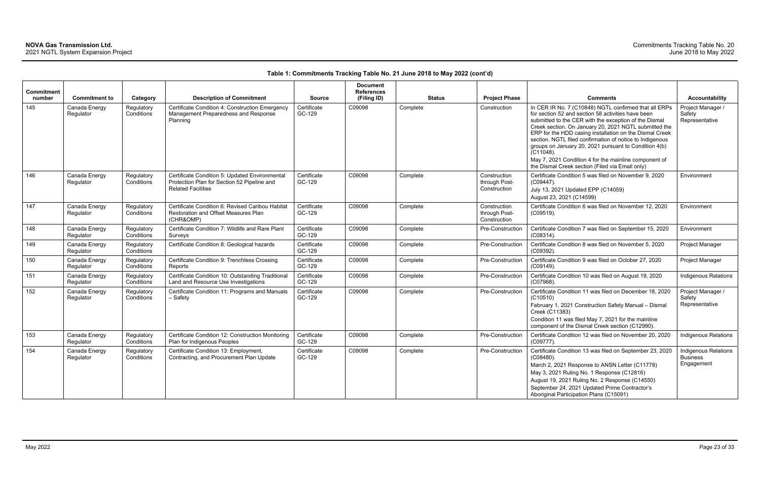| <b>Commitment</b><br>number | <b>Commitment to</b>       | Category                 | <b>Description of Commitment</b>                                                                                           | <b>Source</b>         | <b>Document</b><br><b>References</b><br>(Filing ID) | <b>Status</b> | <b>Project Phase</b>                          | <b>Comments</b>                                                                                                                                                                                                                                                                                                                                                                                                                                                                                                                           | <b>Accountability</b>                                 |
|-----------------------------|----------------------------|--------------------------|----------------------------------------------------------------------------------------------------------------------------|-----------------------|-----------------------------------------------------|---------------|-----------------------------------------------|-------------------------------------------------------------------------------------------------------------------------------------------------------------------------------------------------------------------------------------------------------------------------------------------------------------------------------------------------------------------------------------------------------------------------------------------------------------------------------------------------------------------------------------------|-------------------------------------------------------|
| 145                         | Canada Energy<br>Regulator | Regulatory<br>Conditions | Certificate Condition 4: Construction Emergency<br>Management Preparedness and Response<br>Planning                        | Certificate<br>GC-129 | C09098                                              | Complete      | Construction                                  | In CER IR No. 7 (C10848) NGTL confirmed that all ERPs<br>for section 52 and section 58 activities have been<br>submitted to the CER with the exception of the Dismal<br>Creek section. On January 20, 2021 NGTL submitted the<br>ERP for the HDD casing installation on the Dismal Creek<br>section. NGTL filed confirmation of notice to Indigenous<br>groups on January 20, 2021 pursuant to Condition 4(b)<br>$(C11048)$ .<br>May 7, 2021 Condition 4 for the mainline component of<br>the Dismal Creek section (Filed via Email only) | Project Manager /<br>Safety<br>Representative         |
| 146                         | Canada Energy<br>Regulator | Regulatory<br>Conditions | Certificate Condition 5: Updated Environmental<br>Protection Plan for Section 52 Pipeline and<br><b>Related Facilities</b> | Certificate<br>GC-129 | C09098                                              | Complete      | Construction<br>through Post-<br>Construction | Certificate Condition 5 was filed on November 9, 2020<br>(C09447).<br>July 13, 2021 Updated EPP (C14059)<br>August 23, 2021 (C14599)                                                                                                                                                                                                                                                                                                                                                                                                      | Environment                                           |
| 147                         | Canada Energy<br>Regulator | Regulatory<br>Conditions | Certificate Condition 6: Revised Caribou Habitat<br>Restoration and Offset Measures Plan<br>(CHR&OMP)                      | Certificate<br>GC-129 | C09098                                              | Complete      | Construction<br>through Post-<br>Construction | Certificate Condition 6 was filed on November 12, 2020<br>$(C09519)$ .                                                                                                                                                                                                                                                                                                                                                                                                                                                                    | Environment                                           |
| 148                         | Canada Energy<br>Regulator | Regulatory<br>Conditions | Certificate Condition 7: Wildlife and Rare Plant<br>Surveys                                                                | Certificate<br>GC-129 | C09098                                              | Complete      | Pre-Construction                              | Certificate Condition 7 was filed on September 15, 2020<br>$(C08314)$ .                                                                                                                                                                                                                                                                                                                                                                                                                                                                   | Environment                                           |
| 149                         | Canada Energy<br>Regulator | Regulatory<br>Conditions | Certificate Condition 8: Geological hazards                                                                                | Certificate<br>GC-129 | C09098                                              | Complete      | Pre-Construction                              | Certificate Condition 8 was filed on November 5, 2020<br>(C09392).                                                                                                                                                                                                                                                                                                                                                                                                                                                                        | Project Manager                                       |
| 150                         | Canada Energy<br>Regulator | Regulatory<br>Conditions | Certificate Condition 9: Trenchless Crossing<br>Reports                                                                    | Certificate<br>GC-129 | C09098                                              | Complete      | <b>Pre-Construction</b>                       | Certificate Condition 9 was filed on October 27, 2020<br>(C09149).                                                                                                                                                                                                                                                                                                                                                                                                                                                                        | Project Manager                                       |
| 151                         | Canada Energy<br>Regulator | Regulatory<br>Conditions | Certificate Condition 10: Outstanding Traditional<br>Land and Resource Use Investigations                                  | Certificate<br>GC-129 | C09098                                              | Complete      | Pre-Construction                              | Certificate Condition 10 was filed on August 19, 2020<br>(C07968).                                                                                                                                                                                                                                                                                                                                                                                                                                                                        | <b>Indigenous Relations</b>                           |
| 152                         | Canada Energy<br>Regulator | Regulatory<br>Conditions | Certificate Condition 11: Programs and Manuals<br>– Safety                                                                 | Certificate<br>GC-129 | C09098                                              | Complete      | Pre-Construction                              | Certificate Condition 11 was filed on December 18, 2020<br>(C10510)<br>February 1, 2021 Construction Safety Manual - Dismal<br>Creek (C11383)<br>Condition 11 was filed May 7, 2021 for the mainline<br>component of the Dismal Creek section (C12990).                                                                                                                                                                                                                                                                                   | Project Manager /<br>Safety<br>Representative         |
| 153                         | Canada Energy<br>Regulator | Regulatory<br>Conditions | Certificate Condition 12: Construction Monitoring<br>Plan for Indigenous Peoples                                           | Certificate<br>GC-129 | C09098                                              | Complete      | Pre-Construction                              | Certificate Condition 12 was filed on November 20, 2020<br>$(C09777)$ .                                                                                                                                                                                                                                                                                                                                                                                                                                                                   | Indigenous Relations                                  |
| 154                         | Canada Energy<br>Regulator | Regulatory<br>Conditions | Certificate Condition 13: Employment,<br>Contracting, and Procurement Plan Update                                          | Certificate<br>GC-129 | C09098                                              | Complete      | Pre-Construction                              | Certificate Condition 13 was filed on September 23, 2020<br>$(C08480)$ .<br>March 2, 2021 Response to ANSN Letter (C11778)<br>May 3, 2021 Ruling No. 1 Response (C12816)<br>August 19, 2021 Ruling No. 2 Response (C14550)<br>September 24, 2021 Updated Prime Contractor's<br>Aboriginal Participation Plans (C15091)                                                                                                                                                                                                                    | Indigenous Relations<br><b>Business</b><br>Engagement |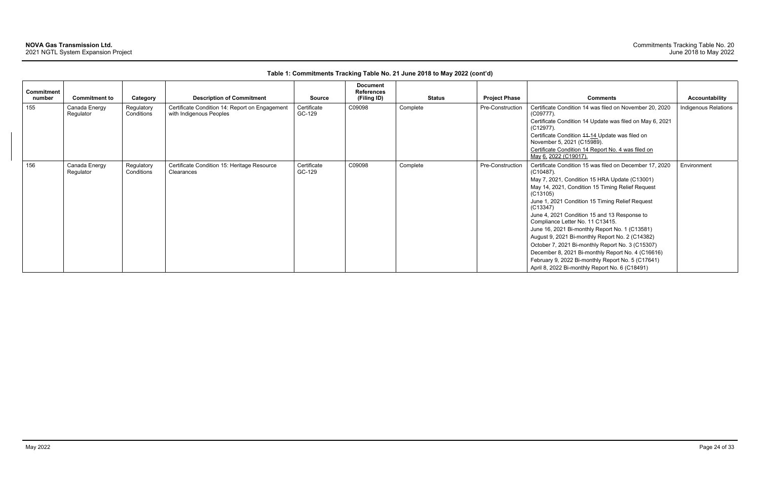| <b>Commitment</b><br>number | <b>Commitment to</b>       | Category                 | <b>Description of Commitment</b>                                          | Source                | <b>Document</b><br><b>References</b><br>(Filing ID) | <b>Status</b> | <b>Project Phase</b> | <b>Comments</b>                                                                                                                                                                                                                                                                                                                                                                                                                                                                                                                                                                                                                                                  | <b>Accountability</b> |
|-----------------------------|----------------------------|--------------------------|---------------------------------------------------------------------------|-----------------------|-----------------------------------------------------|---------------|----------------------|------------------------------------------------------------------------------------------------------------------------------------------------------------------------------------------------------------------------------------------------------------------------------------------------------------------------------------------------------------------------------------------------------------------------------------------------------------------------------------------------------------------------------------------------------------------------------------------------------------------------------------------------------------------|-----------------------|
| 155                         | Canada Energy<br>Regulator | Regulatory<br>Conditions | Certificate Condition 14: Report on Engagement<br>with Indigenous Peoples | Certificate<br>GC-129 | C09098                                              | Complete      | Pre-Construction     | Certificate Condition 14 was filed on November 20, 2020<br>$(C09777)$ .<br>Certificate Condition 14 Update was filed on May 6, 2021<br>$(C12977)$ .<br>Certificate Condition 44-14 Update was filed on<br>November 5, 2021 (C15989).<br>Certificate Condition 14 Report No. 4 was filed on<br>May 6, 2022 (C19017).                                                                                                                                                                                                                                                                                                                                              | Indigenous Relations  |
| 156                         | Canada Energy<br>Regulator | Regulatory<br>Conditions | Certificate Condition 15: Heritage Resource<br>Clearances                 | Certificate<br>GC-129 | C09098                                              | Complete      | Pre-Construction     | Certificate Condition 15 was filed on December 17, 2020<br>$(C10487)$ .<br>May 7, 2021, Condition 15 HRA Update (C13001)<br>May 14, 2021, Condition 15 Timing Relief Request<br>(C13105)<br>June 1, 2021 Condition 15 Timing Relief Request<br>(C13347)<br>June 4, 2021 Condition 15 and 13 Response to<br>Compliance Letter No. 11 C13415.<br>June 16, 2021 Bi-monthly Report No. 1 (C13581)<br>August 9, 2021 Bi-monthly Report No. 2 (C14382)<br>October 7, 2021 Bi-monthly Report No. 3 (C15307)<br>December 8, 2021 Bi-monthly Report No. 4 (C16616)<br>February 9, 2022 Bi-monthly Report No. 5 (C17641)<br>April 8, 2022 Bi-monthly Report No. 6 (C18491) | Environment           |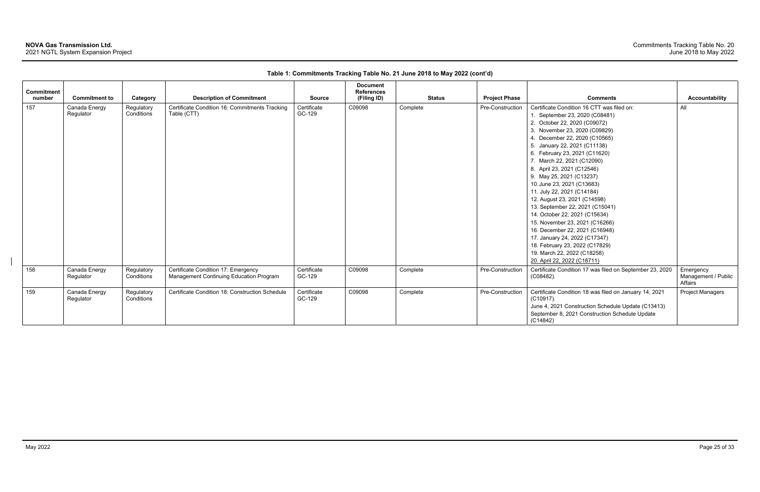| <b>Commitment</b> |                            |                          |                                                                                |                       | <b>Document</b><br><b>References</b> |               |                      |                                                                                                                                                                                                                                                                                                                                                                                                                                                                                                                                                                                                                                                                                                              |                                             |
|-------------------|----------------------------|--------------------------|--------------------------------------------------------------------------------|-----------------------|--------------------------------------|---------------|----------------------|--------------------------------------------------------------------------------------------------------------------------------------------------------------------------------------------------------------------------------------------------------------------------------------------------------------------------------------------------------------------------------------------------------------------------------------------------------------------------------------------------------------------------------------------------------------------------------------------------------------------------------------------------------------------------------------------------------------|---------------------------------------------|
| number            | <b>Commitment to</b>       | Category                 | <b>Description of Commitment</b>                                               | <b>Source</b>         | (Filing ID)                          | <b>Status</b> | <b>Project Phase</b> | <b>Comments</b>                                                                                                                                                                                                                                                                                                                                                                                                                                                                                                                                                                                                                                                                                              | <b>Accountability</b>                       |
| 157               | Canada Energy<br>Regulator | Regulatory<br>Conditions | Certificate Condition 16: Commitments Tracking<br>Table (CTT)                  | Certificate<br>GC-129 | C09098                               | Complete      | Pre-Construction     | Certificate Condition 16 CTT was filed on:<br>1. September 23, 2020 (C08481)<br>2. October 22, 2020 (C09072)<br>3. November 23, 2020 (C09829)<br>4. December 22, 2020 (C10565)<br>5. January 22, 2021 (C11138)<br>6. February 23, 2021 (C11620)<br>7. March 22, 2021 (C12090)<br>8. April 23, 2021 (C12546)<br>9. May 25, 2021 (C13237)<br>10. June 23, 2021 (C13683)<br>11. July 22, 2021 (C14184)<br>12. August 23, 2021 (C14598)<br>13. September 22, 2021 (C15041)<br>14. October 22, 2021 (C15634)<br>15. November 23, 2021 (C16266)<br>16. December 22, 2021 (C16948)<br>17. January 24, 2022 (C17347)<br>18. February 23, 2022 (C17829)<br>19. March 22, 2022 (C18258)<br>20. April 22, 2022 (C18711) | All                                         |
| 158               | Canada Energy<br>Regulator | Regulatory<br>Conditions | Certificate Condition 17: Emergency<br>Management Continuing Education Program | Certificate<br>GC-129 | C09098                               | Complete      | Pre-Construction     | Certificate Condition 17 was filed on September 23, 2020<br>(C08482).                                                                                                                                                                                                                                                                                                                                                                                                                                                                                                                                                                                                                                        | Emergency<br>Management / Public<br>Affairs |
| 159               | Canada Energy<br>Regulator | Regulatory<br>Conditions | Certificate Condition 18: Construction Schedule                                | Certificate<br>GC-129 | C09098                               | Complete      | Pre-Construction     | Certificate Condition 18 was filed on January 14, 2021<br>$(C10917)$ .<br>June 4, 2021 Construction Schedule Update (C13413)<br>September 8, 2021 Construction Schedule Update<br>(C14842)                                                                                                                                                                                                                                                                                                                                                                                                                                                                                                                   | <b>Project Managers</b>                     |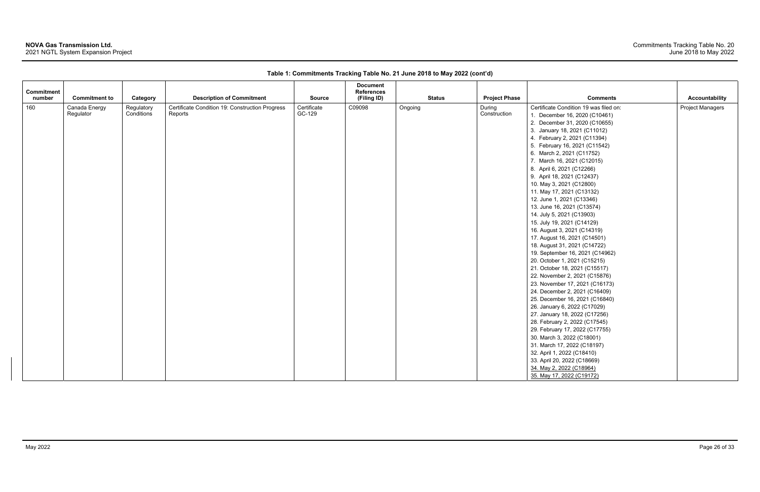| <b>Commitment</b> |                            |                          |                                                            |                       | <b>Document</b><br><b>References</b> |               |                        |                                                                                                                                                                                                                                                                                                                                                                                                                                                                                                                                                                                                                                                                                                                                                                                                                                                                                                                                                                                                                                                                                                                                                                                |                         |
|-------------------|----------------------------|--------------------------|------------------------------------------------------------|-----------------------|--------------------------------------|---------------|------------------------|--------------------------------------------------------------------------------------------------------------------------------------------------------------------------------------------------------------------------------------------------------------------------------------------------------------------------------------------------------------------------------------------------------------------------------------------------------------------------------------------------------------------------------------------------------------------------------------------------------------------------------------------------------------------------------------------------------------------------------------------------------------------------------------------------------------------------------------------------------------------------------------------------------------------------------------------------------------------------------------------------------------------------------------------------------------------------------------------------------------------------------------------------------------------------------|-------------------------|
| number            | <b>Commitment to</b>       | Category                 | <b>Description of Commitment</b>                           | <b>Source</b>         | (Filing ID)                          | <b>Status</b> | <b>Project Phase</b>   | <b>Comments</b>                                                                                                                                                                                                                                                                                                                                                                                                                                                                                                                                                                                                                                                                                                                                                                                                                                                                                                                                                                                                                                                                                                                                                                | <b>Accountability</b>   |
| 160               | Canada Energy<br>Regulator | Regulatory<br>Conditions | Certificate Condition 19: Construction Progress<br>Reports | Certificate<br>GC-129 | C09098                               | Ongoing       | During<br>Construction | Certificate Condition 19 was filed on:<br>1. December 16, 2020 (C10461)<br>2. December 31, 2020 (C10655)<br>3. January 18, 2021 (C11012)<br>4. February 2, 2021 (C11394)<br>5. February 16, 2021 (C11542)<br>6. March 2, 2021 (C11752)<br>7. March 16, 2021 (C12015)<br>8. April 6, 2021 (C12266)<br>9. April 18, 2021 (C12437)<br>10. May 3, 2021 (C12800)<br>11. May 17, 2021 (C13132)<br>12. June 1, 2021 (C13346)<br>13. June 16, 2021 (C13574)<br>14. July 5, 2021 (C13903)<br>15. July 19, 2021 (C14129)<br>16. August 3, 2021 (C14319)<br>17. August 16, 2021 (C14501)<br>18. August 31, 2021 (C14722)<br>19. September 16, 2021 (C14962)<br>20. October 1, 2021 (C15215)<br>21. October 18, 2021 (C15517)<br>22. November 2, 2021 (C15876)<br>23. November 17, 2021 (C16173)<br>24. December 2, 2021 (C16409)<br>25. December 16, 2021 (C16840)<br>26. January 6, 2022 (C17029)<br>27. January 18, 2022 (C17256)<br>28. February 2, 2022 (C17545)<br>29. February 17, 2022 (C17755)<br>30. March 3, 2022 (C18001)<br>31. March 17, 2022 (C18197)<br>32. April 1, 2022 (C18410)<br>33. April 20, 2022 (C18669)<br>34. May 2, 2022 (C18964)<br>35. May 17, 2022 (C19172) | <b>Project Managers</b> |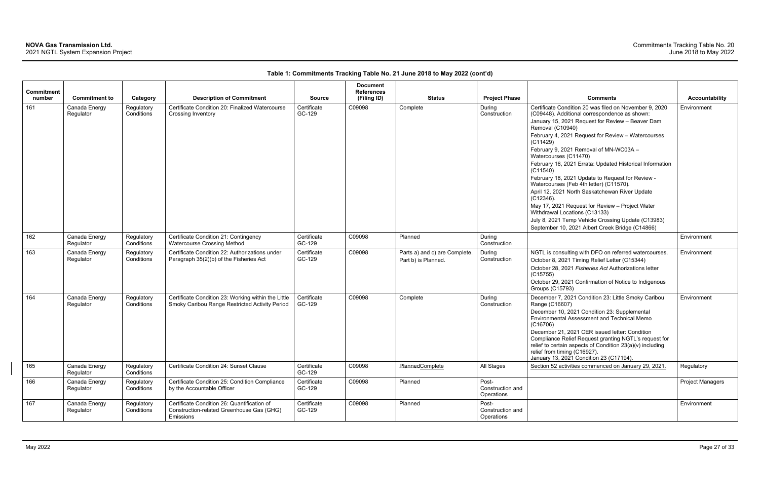| Commitment |                            |                          |                                                                                                       |                       | <b>Document</b><br><b>References</b> |                                                      |                                         |                                                                                                                                      |                         |
|------------|----------------------------|--------------------------|-------------------------------------------------------------------------------------------------------|-----------------------|--------------------------------------|------------------------------------------------------|-----------------------------------------|--------------------------------------------------------------------------------------------------------------------------------------|-------------------------|
| number     | <b>Commitment to</b>       | Category                 | <b>Description of Commitment</b>                                                                      | <b>Source</b>         | (Filing ID)                          | <b>Status</b>                                        | <b>Project Phase</b>                    | <b>Comments</b>                                                                                                                      | <b>Accountability</b>   |
| 161        | Canada Energy<br>Regulator | Regulatory<br>Conditions | Certificate Condition 20: Finalized Watercourse<br>Crossing Inventory                                 | Certificate<br>GC-129 | C09098                               | Complete                                             | During<br>Construction                  | Certificate Condition 20 was filed on November 9, 2020<br>(C09448). Additional correspondence as shown:                              | Environment             |
|            |                            |                          |                                                                                                       |                       |                                      |                                                      |                                         | January 15, 2021 Request for Review - Beaver Dam<br>Removal (C10940)                                                                 |                         |
|            |                            |                          |                                                                                                       |                       |                                      |                                                      |                                         | February 4, 2021 Request for Review - Watercourses<br>(C11429)                                                                       |                         |
|            |                            |                          |                                                                                                       |                       |                                      |                                                      |                                         | February 9, 2021 Removal of MN-WC03A -<br>Watercourses (C11470)                                                                      |                         |
|            |                            |                          |                                                                                                       |                       |                                      |                                                      |                                         | February 16, 2021 Errata: Updated Historical Information<br>(C11540)                                                                 |                         |
|            |                            |                          |                                                                                                       |                       |                                      |                                                      |                                         | February 18, 2021 Update to Request for Review -<br>Watercourses (Feb 4th letter) (C11570).                                          |                         |
|            |                            |                          |                                                                                                       |                       |                                      |                                                      |                                         | April 12, 2021 North Saskatchewan River Update<br>$(C12346)$ .                                                                       |                         |
|            |                            |                          |                                                                                                       |                       |                                      |                                                      |                                         | May 17, 2021 Request for Review - Project Water<br>Withdrawal Locations (C13133)                                                     |                         |
|            |                            |                          |                                                                                                       |                       |                                      |                                                      |                                         | July 8, 2021 Temp Vehicle Crossing Update (C13983)                                                                                   |                         |
|            |                            |                          |                                                                                                       |                       |                                      |                                                      |                                         | September 10, 2021 Albert Creek Bridge (C14866)                                                                                      |                         |
| 162        | Canada Energy<br>Regulator | Regulatory<br>Conditions | Certificate Condition 21: Contingency<br>Watercourse Crossing Method                                  | Certificate<br>GC-129 | C09098                               | Planned                                              | During<br>Construction                  |                                                                                                                                      | Environment             |
| 163        | Canada Energy<br>Regulator | Regulatory<br>Conditions | Certificate Condition 22: Authorizations under<br>Paragraph 35(2)(b) of the Fisheries Act             | Certificate<br>GC-129 | C09098                               | Parts a) and c) are Complete.<br>Part b) is Planned. | During<br>Construction                  | NGTL is consulting with DFO on referred watercourses.<br>October 8, 2021 Timing Relief Letter (C15344)                               | Environment             |
|            |                            |                          |                                                                                                       |                       |                                      |                                                      |                                         | October 28, 2021 Fisheries Act Authorizations letter<br>(C15755)                                                                     |                         |
|            |                            |                          |                                                                                                       |                       |                                      |                                                      |                                         | October 29, 2021 Confirmation of Notice to Indigenous<br><b>Groups (C15793)</b>                                                      |                         |
| 164        | Canada Energy<br>Regulator | Regulatory<br>Conditions | Certificate Condition 23: Working within the Little<br>Smoky Caribou Range Restricted Activity Period | Certificate<br>GC-129 | C09098                               | Complete                                             | During<br>Construction                  | December 7, 2021 Condition 23: Little Smoky Caribou<br>Range (C16607)                                                                | Environment             |
|            |                            |                          |                                                                                                       |                       |                                      |                                                      |                                         | December 10, 2021 Condition 23: Supplemental<br>Environmental Assessment and Technical Memo<br>(C16706)                              |                         |
|            |                            |                          |                                                                                                       |                       |                                      |                                                      |                                         | December 21, 2021 CER issued letter: Condition<br>Compliance Relief Request granting NGTL's request for                              |                         |
|            |                            |                          |                                                                                                       |                       |                                      |                                                      |                                         | relief to certain aspects of Condition 23(a)(v) including<br>relief from timing (C16927).<br>January 13, 2021 Condition 23 (C17194). |                         |
| 165        | Canada Energy<br>Regulator | Regulatory<br>Conditions | Certificate Condition 24: Sunset Clause                                                               | Certificate<br>GC-129 | C09098                               | Planned Complete                                     | All Stages                              | Section 52 activities commenced on January 29, 2021.                                                                                 | Regulatory              |
| 166        | Canada Energy<br>Regulator | Regulatory<br>Conditions | Certificate Condition 25: Condition Compliance<br>by the Accountable Officer                          | Certificate<br>GC-129 | C09098                               | Planned                                              | Post-<br>Construction and<br>Operations |                                                                                                                                      | <b>Project Managers</b> |
| 167        | Canada Energy<br>Regulator | Regulatory<br>Conditions | Certificate Condition 26: Quantification of<br>Construction-related Greenhouse Gas (GHG)<br>Emissions | Certificate<br>GC-129 | C09098                               | Planned                                              | Post-<br>Construction and<br>Operations |                                                                                                                                      | Environment             |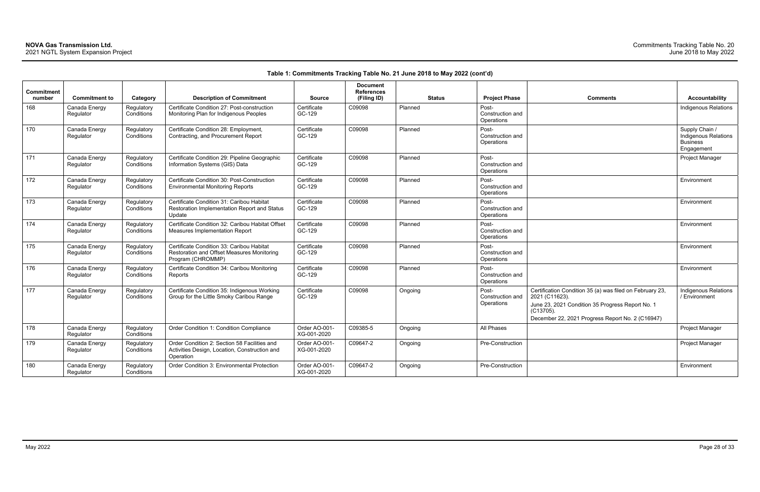| <b>Comments</b>                                                                                                                                                                                 | <b>Accountability</b>                                                          |
|-------------------------------------------------------------------------------------------------------------------------------------------------------------------------------------------------|--------------------------------------------------------------------------------|
|                                                                                                                                                                                                 | <b>Indigenous Relations</b>                                                    |
|                                                                                                                                                                                                 | Supply Chain /<br><b>Indigenous Relations</b><br><b>Business</b><br>Engagement |
|                                                                                                                                                                                                 | Project Manager                                                                |
|                                                                                                                                                                                                 | Environment                                                                    |
|                                                                                                                                                                                                 | Environment                                                                    |
|                                                                                                                                                                                                 | Environment                                                                    |
|                                                                                                                                                                                                 | Environment                                                                    |
|                                                                                                                                                                                                 | Environment                                                                    |
| Certification Condition 35 (a) was filed on February 23,<br>2021 (C11623).<br>June 23, 2021 Condition 35 Progress Report No. 1<br>(C13705).<br>December 22, 2021 Progress Report No. 2 (C16947) | Indigenous Relations<br>/ Environment                                          |
|                                                                                                                                                                                                 | Project Manager                                                                |
|                                                                                                                                                                                                 | Project Manager                                                                |
|                                                                                                                                                                                                 | Environment                                                                    |

| Commitment<br>number | <b>Commitment to</b>       | Category                 | <b>Description of Commitment</b>                                                                             | <b>Source</b>                | <b>Document</b><br><b>References</b><br>(Filing ID) | <b>Status</b> | <b>Project Phase</b>                    | <b>Comments</b>                                                                                                                                                                                    | <b>Accountability</b>                                                  |
|----------------------|----------------------------|--------------------------|--------------------------------------------------------------------------------------------------------------|------------------------------|-----------------------------------------------------|---------------|-----------------------------------------|----------------------------------------------------------------------------------------------------------------------------------------------------------------------------------------------------|------------------------------------------------------------------------|
| 168                  | Canada Energy<br>Regulator | Regulatory<br>Conditions | Certificate Condition 27: Post-construction<br>Monitoring Plan for Indigenous Peoples                        | Certificate<br>GC-129        | C09098                                              | Planned       | Post-<br>Construction and<br>Operations |                                                                                                                                                                                                    | Indigenous Relatior                                                    |
| 170                  | Canada Energy<br>Regulator | Regulatory<br>Conditions | Certificate Condition 28: Employment,<br>Contracting, and Procurement Report                                 | Certificate<br>GC-129        | C09098                                              | Planned       | Post-<br>Construction and<br>Operations |                                                                                                                                                                                                    | Supply Chain /<br>Indigenous Relation<br><b>Business</b><br>Engagement |
| 171                  | Canada Energy<br>Regulator | Regulatory<br>Conditions | Certificate Condition 29: Pipeline Geographic<br>Information Systems (GIS) Data                              | Certificate<br>GC-129        | C09098                                              | Planned       | Post-<br>Construction and<br>Operations |                                                                                                                                                                                                    | Project Manager                                                        |
| 172                  | Canada Energy<br>Regulator | Regulatory<br>Conditions | Certificate Condition 30: Post-Construction<br><b>Environmental Monitoring Reports</b>                       | Certificate<br>GC-129        | C09098                                              | Planned       | Post-<br>Construction and<br>Operations |                                                                                                                                                                                                    | Environment                                                            |
| 173                  | Canada Energy<br>Regulator | Regulatory<br>Conditions | Certificate Condition 31: Caribou Habitat<br>Restoration Implementation Report and Status<br>Update          | Certificate<br>GC-129        | C09098                                              | Planned       | Post-<br>Construction and<br>Operations |                                                                                                                                                                                                    | Environment                                                            |
| 174                  | Canada Energy<br>Regulator | Regulatory<br>Conditions | Certificate Condition 32: Caribou Habitat Offset<br>Measures Implementation Report                           | Certificate<br>GC-129        | C09098                                              | Planned       | Post-<br>Construction and<br>Operations |                                                                                                                                                                                                    | Environment                                                            |
| 175                  | Canada Energy<br>Regulator | Regulatory<br>Conditions | Certificate Condition 33: Caribou Habitat<br>Restoration and Offset Measures Monitoring<br>Program (CHROMMP) | Certificate<br>GC-129        | C09098                                              | Planned       | Post-<br>Construction and<br>Operations |                                                                                                                                                                                                    | Environment                                                            |
| 176                  | Canada Energy<br>Regulator | Regulatory<br>Conditions | Certificate Condition 34: Caribou Monitoring<br>Reports                                                      | Certificate<br>GC-129        | C09098                                              | Planned       | Post-<br>Construction and<br>Operations |                                                                                                                                                                                                    | Environment                                                            |
| 177                  | Canada Energy<br>Regulator | Regulatory<br>Conditions | Certificate Condition 35: Indigenous Working<br>Group for the Little Smoky Caribou Range                     | Certificate<br>GC-129        | C09098                                              | Ongoing       | Post-<br>Construction and<br>Operations | Certification Condition 35 (a) was filed on February 23,<br>2021 (C11623).<br>June 23, 2021 Condition 35 Progress Report No. 1<br>$(C13705)$ .<br>December 22, 2021 Progress Report No. 2 (C16947) | Indigenous Relation<br>/ Environment                                   |
| 178                  | Canada Energy<br>Regulator | Regulatory<br>Conditions | Order Condition 1: Condition Compliance                                                                      | Order AO-001-<br>XG-001-2020 | C09385-5                                            | Ongoing       | All Phases                              |                                                                                                                                                                                                    | Project Manager                                                        |
| 179                  | Canada Energy<br>Regulator | Regulatory<br>Conditions | Order Condition 2: Section 58 Facilities and<br>Activities Design, Location, Construction and<br>Operation   | Order AO-001-<br>XG-001-2020 | C09647-2                                            | Ongoing       | Pre-Construction                        |                                                                                                                                                                                                    | Project Manager                                                        |
| 180                  | Canada Energy<br>Regulator | Regulatory<br>Conditions | Order Condition 3: Environmental Protection                                                                  | Order AO-001-<br>XG-001-2020 | C09647-2                                            | Ongoing       | Pre-Construction                        |                                                                                                                                                                                                    | Environment                                                            |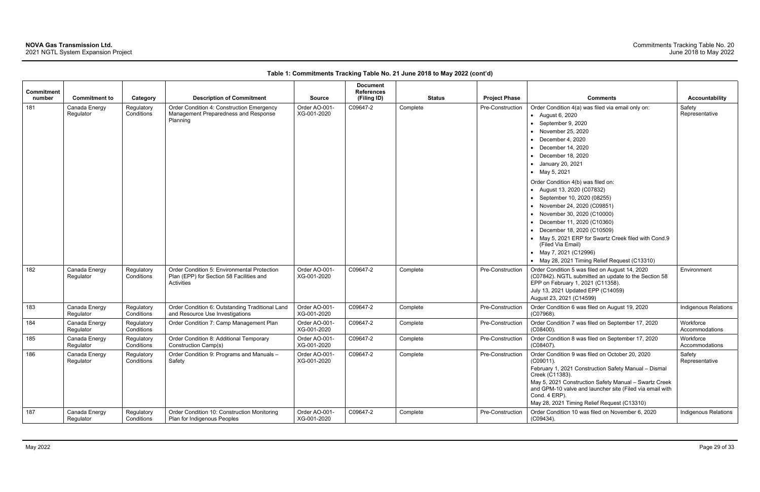| Commitment |                            |                          |                                                                                                       |                              | <b>Document</b><br><b>References</b> |               |                      |                                                                                                                                                                                                                                                                                                                                                                                      |                             |
|------------|----------------------------|--------------------------|-------------------------------------------------------------------------------------------------------|------------------------------|--------------------------------------|---------------|----------------------|--------------------------------------------------------------------------------------------------------------------------------------------------------------------------------------------------------------------------------------------------------------------------------------------------------------------------------------------------------------------------------------|-----------------------------|
| number     | <b>Commitment to</b>       | Category                 | <b>Description of Commitment</b>                                                                      | <b>Source</b>                | (Filing ID)                          | <b>Status</b> | <b>Project Phase</b> | <b>Comments</b>                                                                                                                                                                                                                                                                                                                                                                      | <b>Accountability</b>       |
| 181        | Canada Energy<br>Regulator | Regulatory<br>Conditions | Order Condition 4: Construction Emergency<br>Management Preparedness and Response<br>Planning         | Order AO-001-<br>XG-001-2020 | C09647-2                             | Complete      | Pre-Construction     | Order Condition 4(a) was filed via email only on:<br>$\bullet$ August 6, 2020<br>$\bullet$ September 9, 2020<br>• November 25, 2020<br>December 4, 2020<br>December 14, 2020<br>December 18, 2020<br>January 20, 2021<br>• May 5, 2021                                                                                                                                               | Safety<br>Representative    |
|            |                            |                          |                                                                                                       |                              |                                      |               |                      | Order Condition 4(b) was filed on:<br>• August 13, 2020 (C07832)<br>• September 10, 2020 (08255)<br>• November 24, 2020 (C09851)<br>• November 30, 2020 (C10000)<br>December 11, 2020 (C10360)<br>December 18, 2020 (C10509)<br>• May 5, 2021 ERP for Swartz Creek filed with Cond.9<br>(Filed Via Email)<br>• May 7, 2021 (C12996)<br>• May 28, 2021 Timing Relief Request (C13310) |                             |
| 182        | Canada Energy<br>Regulator | Regulatory<br>Conditions | Order Condition 5: Environmental Protection<br>Plan (EPP) for Section 58 Facilities and<br>Activities | Order AO-001-<br>XG-001-2020 | C09647-2                             | Complete      | Pre-Construction     | Order Condition 5 was filed on August 14, 2020<br>(C07842). NGTL submitted an update to the Section 58<br>EPP on February 1, 2021 (C11358).<br>July 13, 2021 Updated EPP (C14059)<br>August 23, 2021 (C14599)                                                                                                                                                                        | Environment                 |
| 183        | Canada Energy<br>Regulator | Regulatory<br>Conditions | Order Condition 6: Outstanding Traditional Land<br>and Resource Use Investigations                    | Order AO-001-<br>XG-001-2020 | C09647-2                             | Complete      | Pre-Construction     | Order Condition 6 was filed on August 19, 2020<br>(C07968).                                                                                                                                                                                                                                                                                                                          | Indigenous Relations        |
| 184        | Canada Energy<br>Regulator | Regulatory<br>Conditions | Order Condition 7: Camp Management Plan                                                               | Order AO-001-<br>XG-001-2020 | C09647-2                             | Complete      | Pre-Construction     | Order Condition 7 was filed on September 17, 2020<br>$(C08400)$ .                                                                                                                                                                                                                                                                                                                    | Workforce<br>Accommodations |
| 185        | Canada Energy<br>Regulator | Regulatory<br>Conditions | Order Condition 8: Additional Temporary<br>Construction Camp(s)                                       | Order AO-001-<br>XG-001-2020 | C09647-2                             | Complete      | Pre-Construction     | Order Condition 8 was filed on September 17, 2020<br>$(C08407)$ .                                                                                                                                                                                                                                                                                                                    | Workforce<br>Accommodations |
| 186        | Canada Energy<br>Regulator | Regulatory<br>Conditions | Order Condition 9: Programs and Manuals -<br>Safety                                                   | Order AO-001-<br>XG-001-2020 | C09647-2                             | Complete      | Pre-Construction     | Order Condition 9 was filed on October 20, 2020<br>$(C09011)$ .<br>February 1, 2021 Construction Safety Manual - Dismal<br>Creek (C11383).<br>May 5, 2021 Construction Safety Manual - Swartz Creek<br>and GPM-10 valve and launcher site (Filed via email with<br>Cond. 4 ERP).<br>May 28, 2021 Timing Relief Request (C13310)                                                      | Safety<br>Representative    |
| 187        | Canada Energy<br>Regulator | Regulatory<br>Conditions | Order Condition 10: Construction Monitoring<br>Plan for Indigenous Peoples                            | Order AO-001-<br>XG-001-2020 | C09647-2                             | Complete      | Pre-Construction     | Order Condition 10 was filed on November 6, 2020<br>(C09434).                                                                                                                                                                                                                                                                                                                        | Indigenous Relations        |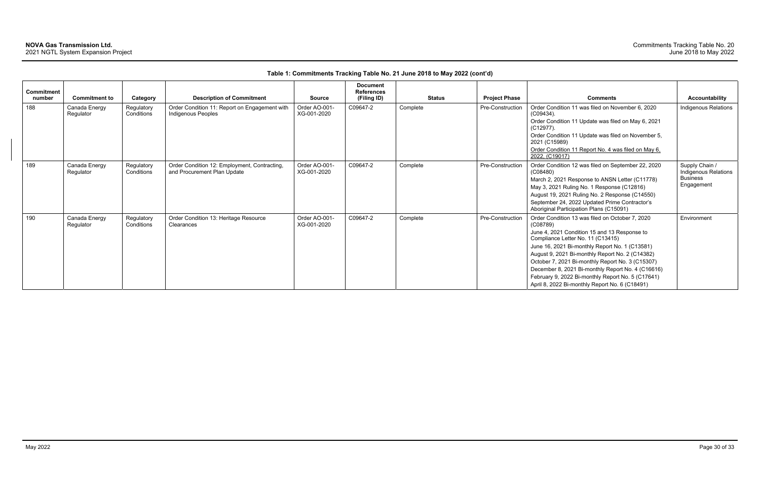| Commitment<br>number | <b>Commitment to</b>       | Category                 | <b>Description of Commitment</b>                                            | <b>Source</b>                | <b>Document</b><br><b>References</b><br>(Filing ID) | <b>Status</b> | <b>Project Phase</b>    | <b>Comments</b>                                                                                                                                                                                                                                                                                                                                                                                                                                                       | Accountability                                                          |
|----------------------|----------------------------|--------------------------|-----------------------------------------------------------------------------|------------------------------|-----------------------------------------------------|---------------|-------------------------|-----------------------------------------------------------------------------------------------------------------------------------------------------------------------------------------------------------------------------------------------------------------------------------------------------------------------------------------------------------------------------------------------------------------------------------------------------------------------|-------------------------------------------------------------------------|
| 188                  | Canada Energy<br>Regulator | Regulatory<br>Conditions | Order Condition 11: Report on Engagement with<br>Indigenous Peoples         | Order AO-001-<br>XG-001-2020 | C09647-2                                            | Complete      | Pre-Construction        | Order Condition 11 was filed on November 6, 2020<br>$(C09434)$ .<br>Order Condition 11 Update was filed on May 6, 2021<br>$(C12977)$ .<br>Order Condition 11 Update was filed on November 5,<br>2021 (C15989)<br>Order Condition 11 Report No. 4 was filed on May 6.<br>2022, (C19017)                                                                                                                                                                                | Indigenous Relations                                                    |
| 189                  | Canada Energy<br>Regulator | Regulatory<br>Conditions | Order Condition 12: Employment, Contracting,<br>and Procurement Plan Update | Order AO-001-<br>XG-001-2020 | C09647-2                                            | Complete      | <b>Pre-Construction</b> | Order Condition 12 was filed on September 22, 2020<br>(C08480)<br>March 2, 2021 Response to ANSN Letter (C11778)<br>May 3, 2021 Ruling No. 1 Response (C12816)<br>August 19, 2021 Ruling No. 2 Response (C14550)<br>September 24, 2022 Updated Prime Contractor's<br>Aboriginal Participation Plans (C15091)                                                                                                                                                          | Supply Chain /<br>Indigenous Relations<br><b>Business</b><br>Engagement |
| 190                  | Canada Energy<br>Regulator | Regulatory<br>Conditions | Order Condition 13: Heritage Resource<br>Clearances                         | Order AO-001-<br>XG-001-2020 | C09647-2                                            | Complete      | Pre-Construction        | Order Condition 13 was filed on October 7, 2020<br>(C08789)<br>June 4, 2021 Condition 15 and 13 Response to<br>Compliance Letter No. 11 (C13415)<br>June 16, 2021 Bi-monthly Report No. 1 (C13581)<br>August 9, 2021 Bi-monthly Report No. 2 (C14382)<br>October 7, 2021 Bi-monthly Report No. 3 (C15307)<br>December 8, 2021 Bi-monthly Report No. 4 (C16616)<br>February 9, 2022 Bi-monthly Report No. 5 (C17641)<br>April 8, 2022 Bi-monthly Report No. 6 (C18491) | Environment                                                             |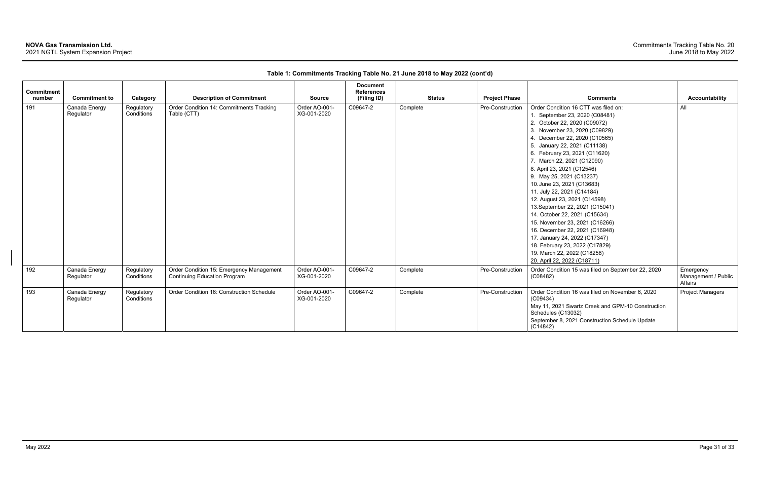| Commitment<br>number | <b>Commitment to</b>       | Category                 | <b>Description of Commitment</b>                                                | <b>Source</b>                | <b>Document</b><br><b>References</b><br>(Filing ID) | <b>Status</b> | <b>Project Phase</b> | <b>Comments</b>                                                                                                                                                                                                                                                                                                                                                                                                                                                                                                                                                                                                                                                                                        | <b>Accountability</b>                       |
|----------------------|----------------------------|--------------------------|---------------------------------------------------------------------------------|------------------------------|-----------------------------------------------------|---------------|----------------------|--------------------------------------------------------------------------------------------------------------------------------------------------------------------------------------------------------------------------------------------------------------------------------------------------------------------------------------------------------------------------------------------------------------------------------------------------------------------------------------------------------------------------------------------------------------------------------------------------------------------------------------------------------------------------------------------------------|---------------------------------------------|
| 191                  | Canada Energy<br>Regulator | Regulatory<br>Conditions | Order Condition 14: Commitments Tracking<br>Table (CTT)                         | Order AO-001-<br>XG-001-2020 | C09647-2                                            | Complete      | Pre-Construction     | Order Condition 16 CTT was filed on:<br>1. September 23, 2020 (C08481)<br>2. October 22, 2020 (C09072)<br>3. November 23, 2020 (C09829)<br>4. December 22, 2020 (C10565)<br>5. January 22, 2021 (C11138)<br>6. February 23, 2021 (C11620)<br>7. March 22, 2021 (C12090)<br>8. April 23, 2021 (C12546)<br>9. May 25, 2021 (C13237)<br>10. June 23, 2021 (C13683)<br>11. July 22, 2021 (C14184)<br>12. August 23, 2021 (C14598)<br>13. September 22, 2021 (C15041)<br>14. October 22, 2021 (C15634)<br>15. November 23, 2021 (C16266)<br>16. December 22, 2021 (C16948)<br>17. January 24, 2022 (C17347)<br>18. February 23, 2022 (C17829)<br>19. March 22, 2022 (C18258)<br>20. April 22, 2022 (C18711) | All                                         |
| 192                  | Canada Energy<br>Regulator | Regulatory<br>Conditions | Order Condition 15: Emergency Management<br><b>Continuing Education Program</b> | Order AO-001-<br>XG-001-2020 | C09647-2                                            | Complete      | Pre-Construction     | Order Condition 15 was filed on September 22, 2020<br>(C08482)                                                                                                                                                                                                                                                                                                                                                                                                                                                                                                                                                                                                                                         | Emergency<br>Management / Public<br>Affairs |
| 193                  | Canada Energy<br>Regulator | Regulatory<br>Conditions | Order Condition 16: Construction Schedule                                       | Order AO-001-<br>XG-001-2020 | C09647-2                                            | Complete      | Pre-Construction     | Order Condition 16 was filed on November 6, 2020<br>(C09434)<br>May 11, 2021 Swartz Creek and GPM-10 Construction<br>Schedules (C13032)<br>September 8, 2021 Construction Schedule Update<br>(C14842)                                                                                                                                                                                                                                                                                                                                                                                                                                                                                                  | <b>Project Managers</b>                     |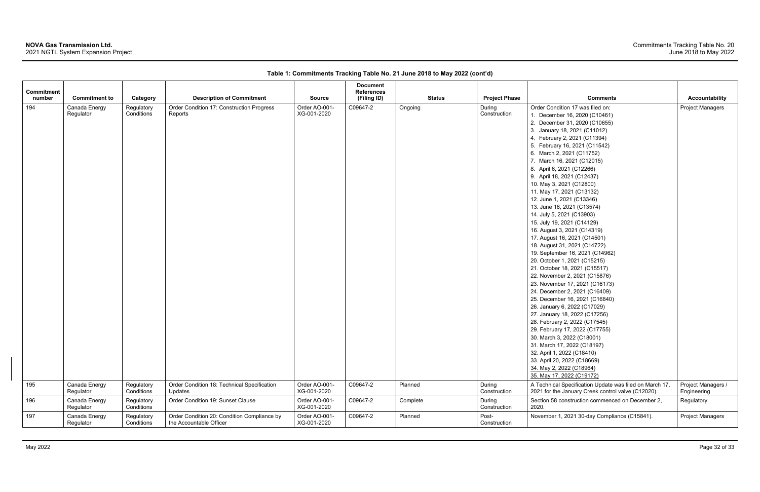| Commitment |                            |                          |                                                                        |                              | <b>Document</b><br><b>References</b> |               |                        |                                                                                                                                                                                                                                                                                                                                                                                                                                                                                                                                                                                                                                                                                                                                                                                                                                                                                                                                                                                                                                                                                                                                                                          |                                   |
|------------|----------------------------|--------------------------|------------------------------------------------------------------------|------------------------------|--------------------------------------|---------------|------------------------|--------------------------------------------------------------------------------------------------------------------------------------------------------------------------------------------------------------------------------------------------------------------------------------------------------------------------------------------------------------------------------------------------------------------------------------------------------------------------------------------------------------------------------------------------------------------------------------------------------------------------------------------------------------------------------------------------------------------------------------------------------------------------------------------------------------------------------------------------------------------------------------------------------------------------------------------------------------------------------------------------------------------------------------------------------------------------------------------------------------------------------------------------------------------------|-----------------------------------|
| number     | <b>Commitment to</b>       | Category                 | <b>Description of Commitment</b>                                       | <b>Source</b>                | (Filing ID)                          | <b>Status</b> | <b>Project Phase</b>   | <b>Comments</b>                                                                                                                                                                                                                                                                                                                                                                                                                                                                                                                                                                                                                                                                                                                                                                                                                                                                                                                                                                                                                                                                                                                                                          | Accountability                    |
| 194        | Canada Energy<br>Regulator | Regulatory<br>Conditions | Order Condition 17: Construction Progress<br>Reports                   | Order AO-001-<br>XG-001-2020 | C09647-2                             | Ongoing       | During<br>Construction | Order Condition 17 was filed on:<br>1. December 16, 2020 (C10461)<br>2. December 31, 2020 (C10655)<br>3. January 18, 2021 (C11012)<br>4. February 2, 2021 (C11394)<br>5. February 16, 2021 (C11542)<br>6. March 2, 2021 (C11752)<br>7. March 16, 2021 (C12015)<br>8. April 6, 2021 (C12266)<br>9. April 18, 2021 (C12437)<br>10. May 3, 2021 (C12800)<br>11. May 17, 2021 (C13132)<br>12. June 1, 2021 (C13346)<br>13. June 16, 2021 (C13574)<br>14. July 5, 2021 (C13903)<br>15. July 19, 2021 (C14129)<br>16. August 3, 2021 (C14319)<br>17. August 16, 2021 (C14501)<br>18. August 31, 2021 (C14722)<br>19. September 16, 2021 (C14962)<br>20. October 1, 2021 (C15215)<br>21. October 18, 2021 (C15517)<br>22. November 2, 2021 (C15876)<br>23. November 17, 2021 (C16173)<br>24. December 2, 2021 (C16409)<br>25. December 16, 2021 (C16840)<br>26. January 6, 2022 (C17029)<br>27. January 18, 2022 (C17256)<br>28. February 2, 2022 (C17545)<br>29. February 17, 2022 (C17755)<br>30. March 3, 2022 (C18001)<br>31. March 17, 2022 (C18197)<br>32. April 1, 2022 (C18410)<br>33. April 20, 2022 (C18669)<br>34. May 2, 2022 (C18964)<br>35. May 17, 2022 (C19172) | <b>Project Managers</b>           |
| 195        | Canada Energy<br>Regulator | Regulatory<br>Conditions | Order Condition 18: Technical Specification<br>Updates                 | Order AO-001-<br>XG-001-2020 | C09647-2                             | Planned       | During<br>Construction | A Technical Specification Update was filed on March 17,<br>2021 for the January Creek control valve (C12020).                                                                                                                                                                                                                                                                                                                                                                                                                                                                                                                                                                                                                                                                                                                                                                                                                                                                                                                                                                                                                                                            | Project Managers /<br>Engineering |
| 196        | Canada Energy<br>Regulator | Regulatory<br>Conditions | Order Condition 19: Sunset Clause                                      | Order AO-001-<br>XG-001-2020 | C09647-2                             | Complete      | During<br>Construction | Section 58 construction commenced on December 2,<br>2020.                                                                                                                                                                                                                                                                                                                                                                                                                                                                                                                                                                                                                                                                                                                                                                                                                                                                                                                                                                                                                                                                                                                | Regulatory                        |
| 197        | Canada Energy<br>Regulator | Regulatory<br>Conditions | Order Condition 20: Condition Compliance by<br>the Accountable Officer | Order AO-001-<br>XG-001-2020 | C09647-2                             | Planned       | Post-<br>Construction  | November 1, 2021 30-day Compliance (C15841).                                                                                                                                                                                                                                                                                                                                                                                                                                                                                                                                                                                                                                                                                                                                                                                                                                                                                                                                                                                                                                                                                                                             | Project Managers                  |